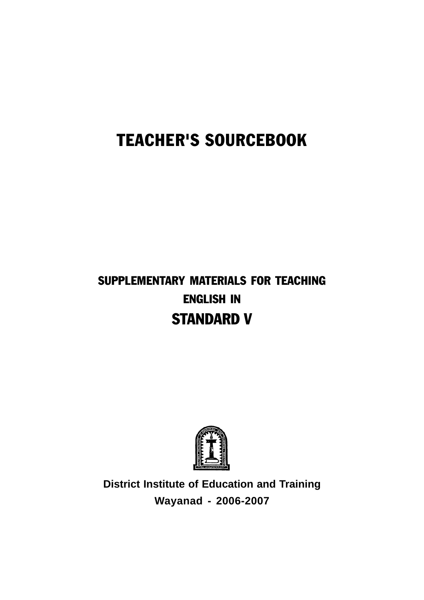# TEACHER'S SOURCEBOOK

# SUPPLEMENTARY MATERIALS FOR TEACHING ENGLISH IN STANDARD V



**District Institute of Education and Training Wayanad - 2006-2007**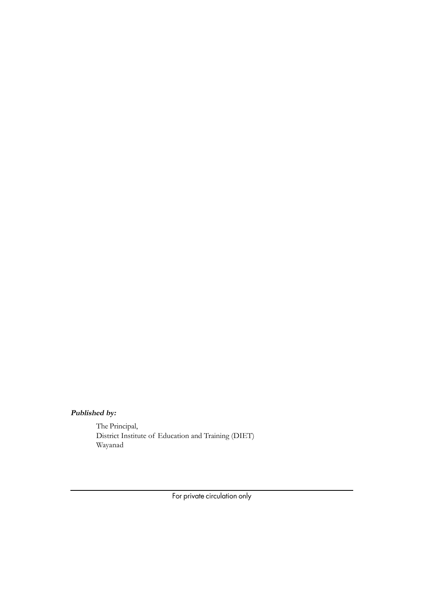# **Published by:**

The Principal, District Institute of Education and Training (DIET) Wayanad

For private circulation only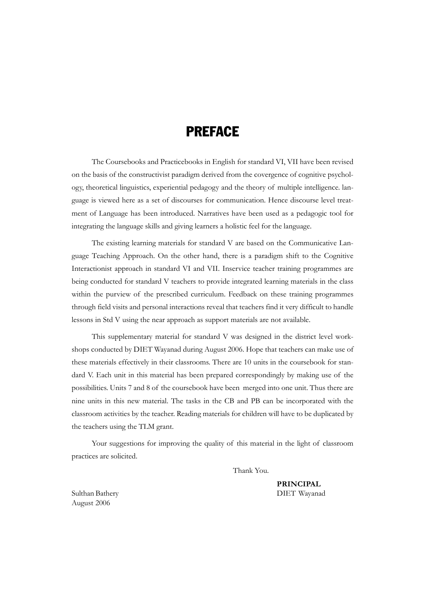# PREFACE

The Coursebooks and Practicebooks in English for standard VI, VII have been revised on the basis of the constructivist paradigm derived from the covergence of cognitive psychology, theoretical linguistics, experiential pedagogy and the theory of multiple intelligence. language is viewed here as a set of discourses for communication. Hence discourse level treatment of Language has been introduced. Narratives have been used as a pedagogic tool for integrating the language skills and giving learners a holistic feel for the language.

The existing learning materials for standard V are based on the Communicative Language Teaching Approach. On the other hand, there is a paradigm shift to the Cognitive Interactionist approach in standard VI and VII. Inservice teacher training programmes are being conducted for standard V teachers to provide integrated learning materials in the class within the purview of the prescribed curriculum. Feedback on these training programmes through field visits and personal interactions reveal that teachers find it very difficult to handle lessons in Std V using the near approach as support materials are not available.

This supplementary material for standard V was designed in the district level workshops conducted by DIET Wayanad during August 2006. Hope that teachers can make use of these materials effectively in their classrooms. There are 10 units in the coursebook for standard V. Each unit in this material has been prepared correspondingly by making use of the possibilities. Units 7 and 8 of the coursebook have been merged into one unit. Thus there are nine units in this new material. The tasks in the CB and PB can be incorporated with the classroom activities by the teacher. Reading materials for children will have to be duplicated by the teachers using the TLM grant.

Your suggestions for improving the quality of this material in the light of classroom practices are solicited.

Thank You.

**PRINCIPAL** Sulthan Bathery DIET Wayanad

August 2006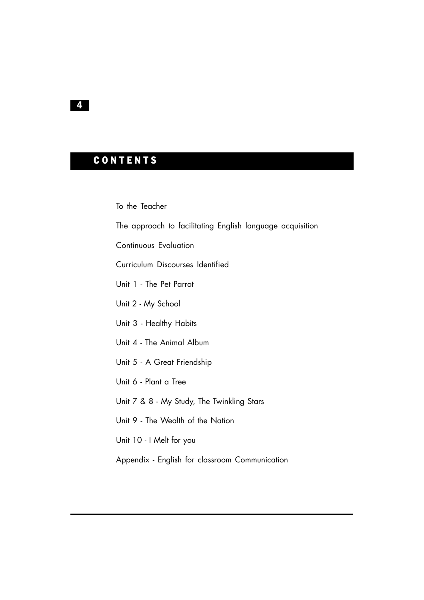# **CONTENTS**

To the Teacher

The approach to facilitating English language acquisition

Continuous Evaluation

Curriculum Discourses Identified

Unit 1 - The Pet Parrot

Unit 2 - My School

- Unit 3 Healthy Habits
- Unit 4 The Animal Album
- Unit 5 A Great Friendship
- Unit 6 Plant a Tree

Unit 7 & 8 - My Study, The Twinkling Stars

Unit 9 - The Wealth of the Nation

Unit 10 - I Melt for you

Appendix - English for classroom Communication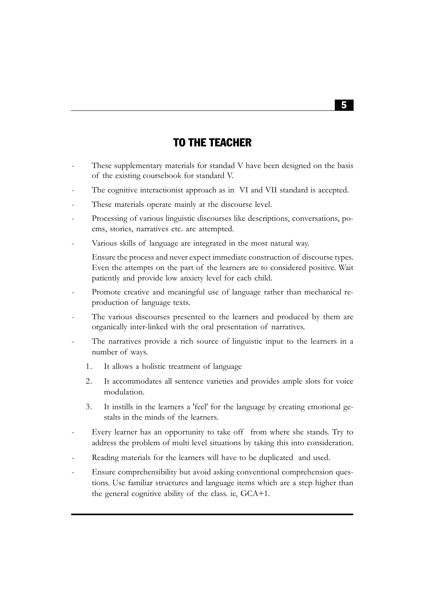# TO THE TEACHER

- These supplementary materials for standad V have been designed on the basis of the existing coursebook for standard V.
- The cognitive interactionist approach as in VI and VII standard is accepted.
- These materials operate mainly at the discourse level.
- Processing of various linguistic discourses like descriptions, conversations, poems, stories, narratives etc. are attempted.
- Various skills of language are integrated in the most natural way.

Ensure the process and never expect immediate construction of discourse types. Even the attempts on the part of the learners are to considered positive. Wait patiently and provide low anxiety level for each child.

- Promote creative and meaningful use of language rather than mechanical reproduction of language texts.
- The various discourses presented to the learners and produced by them are organically inter-linked with the oral presentation of narratives.
- The narratives provide a rich source of linguistic input to the learners in a number of ways.
	- 1. It allows a holistic treatment of language
	- 2. It accommodates all sentence varieties and provides ample slots for voice modulation.
	- 3. It instills in the learners a 'feel' for the language by creating emotional gestalts in the minds of the learners.
- Every learner has an opportunity to take off from where she stands. Try to address the problem of multi level situations by taking this into consideration.
- Reading materials for the learners will have to be duplicated and used.
- Ensure comprehensibility but avoid asking conventional comprehension questions. Use familiar structures and language items which are a step higher than the general cognitive ability of the class. ie, GCA+1.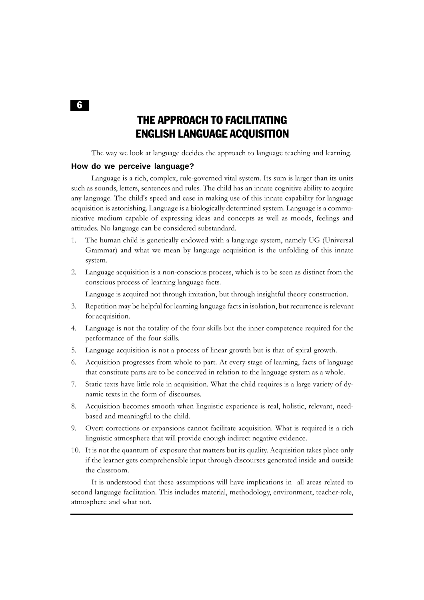THE APPROACH TO FACILITATING ENGLISH LANGUAGE ACQUISITION

The way we look at language decides the approach to language teaching and learning.

#### **How do we perceive language?**

Language is a rich, complex, rule-governed vital system. Its sum is larger than its units such as sounds, letters, sentences and rules. The child has an innate cognitive ability to acquire any language. The child's speed and ease in making use of this innate capability for language acquisition is astonishing. Language is a biologically determined system. Language is a communicative medium capable of expressing ideas and concepts as well as moods, feelings and attitudes. No language can be considered substandard.

- 1. The human child is genetically endowed with a language system, namely UG (Universal Grammar) and what we mean by language acquisition is the unfolding of this innate system.
- 2. Language acquisition is a non-conscious process, which is to be seen as distinct from the conscious process of learning language facts.

Language is acquired not through imitation, but through insightful theory construction.

- 3. Repetition may be helpful for learning language facts in isolation, but recurrence is relevant for acquisition.
- 4. Language is not the totality of the four skills but the inner competence required for the performance of the four skills.
- 5. Language acquisition is not a process of linear growth but is that of spiral growth.
- 6. Acquisition progresses from whole to part. At every stage of learning, facts of language that constitute parts are to be conceived in relation to the language system as a whole.
- 7. Static texts have little role in acquisition. What the child requires is a large variety of dynamic texts in the form of discourses.
- 8. Acquisition becomes smooth when linguistic experience is real, holistic, relevant, needbased and meaningful to the child.
- 9. Overt corrections or expansions cannot facilitate acquisition. What is required is a rich linguistic atmosphere that will provide enough indirect negative evidence.
- 10. It is not the quantum of exposure that matters but its quality. Acquisition takes place only if the learner gets comprehensible input through discourses generated inside and outside the classroom.

It is understood that these assumptions will have implications in all areas related to second language facilitation. This includes material, methodology, environment, teacher-role, atmosphere and what not.

6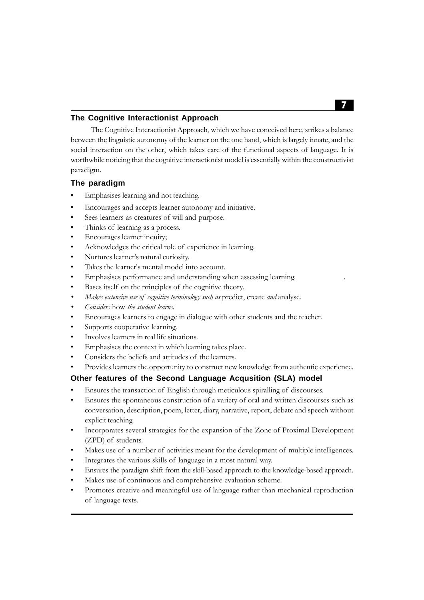#### **The Cognitive Interactionist Approach**

The Cognitive Interactionist Approach, which we have conceived here, strikes a balance between the linguistic autonomy of the learner on the one hand, which is largely innate, and the social interaction on the other, which takes care of the functional aspects of language. It is worthwhile noticing that the cognitive interactionist model is essentially within the constructivist paradigm.

#### **The paradigm**

- Emphasises learning and not teaching.
- Encourages and accepts learner autonomy and initiative.
- Sees learners as creatures of will and purpose.
- Thinks of learning as a process.
- Encourages learner inquiry;
- Acknowledges the critical role of experience in learning.
- Nurtures learner's natural curiosity.
- Takes the learner's mental model into account.
- Emphasises performance and understanding when assessing learning.
- Bases itself on the principles of the cognitive theory.
- *Makes extensive use of cognitive terminology such as* predict, create *and* analyse.
- *Considers* how *the student learns.*
- Encourages learners to engage in dialogue with other students and the teacher.
- Supports cooperative learning.
- Involves learners in real life situations.
- Emphasises the context in which learning takes place.
- Considers the beliefs and attitudes of the learners.
- Provides learners the opportunity to construct new knowledge from authentic experience.

#### **Other features of the Second Language Acqusition (SLA) model**

- Ensures the transaction of English through meticulous spiralling of discourses.
- Ensures the spontaneous construction of a variety of oral and written discourses such as conversation, description, poem, letter, diary, narrative, report, debate and speech without explicit teaching.
- Incorporates several strategies for the expansion of the Zone of Proximal Development (ZPD) of students.
- Makes use of a number of activities meant for the development of multiple intelligences.
- Integrates the various skills of language in a most natural way.
- Ensures the paradigm shift from the skill-based approach to the knowledge-based approach.
- Makes use of continuous and comprehensive evaluation scheme.
- Promotes creative and meaningful use of language rather than mechanical reproduction of language texts.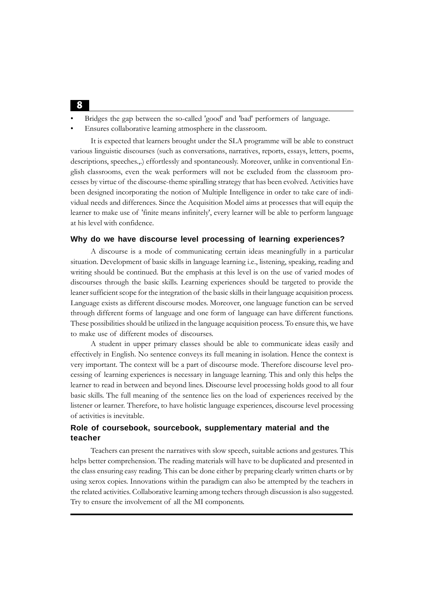- Bridges the gap between the so-called 'good' and 'bad' performers of language.
- Ensures collaborative learning atmosphere in the classroom.

It is expected that learners brought under the SLA programme will be able to construct various linguistic discourses (such as conversations, narratives, reports, essays, letters, poems, descriptions, speeches.,.) effortlessly and spontaneously. Moreover, unlike in conventional English classrooms, even the weak performers will not be excluded from the classroom processes by virtue of the discourse-theme spiralling strategy that has been evolved. Activities have been designed incorporating the notion of Multiple Intelligence in order to take care of individual needs and differences. Since the Acquisition Model aims at processes that will equip the learner to make use of 'finite means infinitely', every learner will be able to perform language at his level with confidence.

#### **Why do we have discourse level processing of learning experiences?**

A discourse is a mode of communicating certain ideas meaningfully in a particular situation. Development of basic skills in language learning i.e., listening, speaking, reading and writing should be continued. But the emphasis at this level is on the use of varied modes of discourses through the basic skills. Learning experiences should be targeted to provide the leaner sufficient scope for the integration of the basic skills in their language acquisition process. Language exists as different discourse modes. Moreover, one language function can be served through different forms of language and one form of language can have different functions. These possibilities should be utilized in the language acquisition process. To ensure this, we have to make use of different modes of discourses.

A student in upper primary classes should be able to communicate ideas easily and effectively in English. No sentence conveys its full meaning in isolation. Hence the context is very important. The context will be a part of discourse mode. Therefore discourse level processing of learning experiences is necessary in language learning. This and only this helps the learner to read in between and beyond lines. Discourse level processing holds good to all four basic skills. The full meaning of the sentence lies on the load of experiences received by the listener or learner. Therefore, to have holistic language experiences, discourse level processing of activities is inevitable.

#### **Role of coursebook, sourcebook, supplementary material and the teacher**

Teachers can present the narratives with slow speech, suitable actions and gestures. This helps better comprehension. The reading materials will have to be duplicated and presented in the class ensuring easy reading. This can be done either by preparing clearly written charts or by using xerox copies. Innovations within the paradigm can also be attempted by the teachers in the related activities. Collaborative learning among techers through discussion is also suggested. Try to ensure the involvement of all the MI components.

#### 8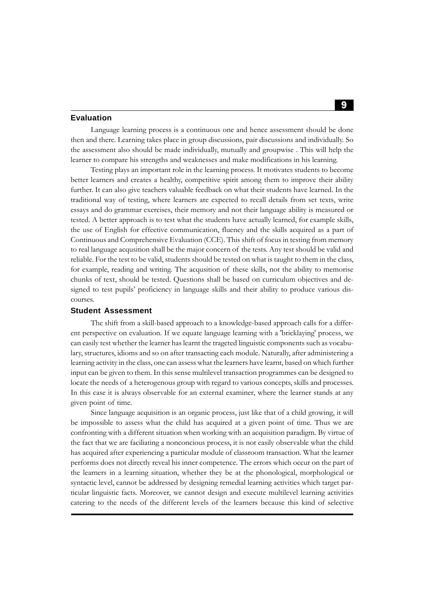#### **Evaluation**

Language learning process is a continuous one and hence assessment should be done then and there. Learning takes place in group discussions, pair discussions and individually. So the assessment also should be made individually, mutually and groupwise . This will help the learner to compare his strengths and weaknesses and make modifications in his learning.

Testing plays an important role in the learning process. It motivates students to become better learners and creates a healthy, competitive spirit among them to improve their ability further. It can also give teachers valuable feedback on what their students have learned. In the traditional way of testing, where learners are expected to recall details from set texts, write essays and do grammar exercises, their memory and not their language ability is measured or tested. A better approach is to test what the students have actually learned, for example skills, the use of English for effective communication, fluency and the skills acquired as a part of Continuous and Comprehensive Evaluation (CCE). This shift of focus in testing from memory to real language acqusition shall be the major concern of the tests. Any test should be valid and reliable. For the test to be valid, students should be tested on what is taught to them in the class, for example, reading and writing. The acqusition of these skills, not the ability to memorise chunks of text, should be tested. Questions shall be based on curriculum objectives and designed to test pupils' proficiency in language skills and their ability to produce various discourses.

#### **Student Assessment**

The shift from a skill-based approach to a knowledge-based approach calls for a different perspective on evaluation. If we equate language learning with a 'bricklaying' process, we can easily test whether the learner has learnt the trageted linguistic components such as vocabulary, structures, idioms and so on after transacting each module. Naturally, after administering a learning activity in the class, one can assess what the learners have learnt, based on which further input can be given to them. In this sense multilevel transaction programmes can be designed to locate the needs of a heterogenous group with regard to various concepts, skills and processes. In this case it is always observable for an external examiner, where the learner stands at any given point of time.

Since language acquisition is an organic process, just like that of a child growing, it will be impossible to assess what the child has acquired at a given point of time. Thus we are confronting with a different situation when working with an acquisition paradigm. By virtue of the fact that we are faciliating a nonconcious process, it is not easily observable what the child has acquired after experiencing a particular module of classroom transaction. What the learner performs does not directly reveal his inner competence. The errors which occur on the part of the learners in a learning situation, whether they be at the phonological, morphological or syntactic level, cannot be addressed by designing remedial learning activities which target particular linguistic facts. Moreover, we cannot design and execute multilevel learning activities catering to the needs of the different levels of the learners because this kind of selective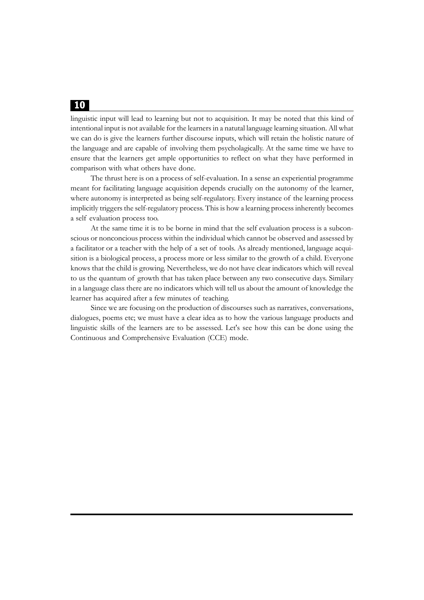linguistic input will lead to learning but not to acquisition. It may be noted that this kind of intentional input is not available for the learners in a natutal language learning situation. All what we can do is give the learners further discourse inputs, which will retain the holistic nature of the language and are capable of involving them psycholagically. At the same time we have to ensure that the learners get ample opportunities to reflect on what they have performed in comparison with what others have done.

The thrust here is on a process of self-evaluation. In a sense an experiential programme meant for facilitating language acquisition depends crucially on the autonomy of the learner, where autonomy is interpreted as being self-regulatory. Every instance of the learning process implicitly triggers the self-regulatory process. This is how a learning process inherently becomes a self evaluation process too.

At the same time it is to be borne in mind that the self evaluation process is a subconscious or nonconcious process within the individual which cannot be observed and assessed by a facilitator or a teacher with the help of a set of tools. As already mentioned, language acquisition is a biological process, a process more or less similar to the growth of a child. Everyone knows that the child is growing. Nevertheless, we do not have clear indicators which will reveal to us the quantum of growth that has taken place between any two consecutive days. Similary in a language class there are no indicators which will tell us about the amount of knowledge the learner has acquired after a few minutes of teaching.

Since we are focusing on the production of discourses such as narratives, conversations, dialogues, poems etc; we must have a clear idea as to how the various language products and linguistic skills of the learners are to be assessed. Let's see how this can be done using the Continuous and Comprehensive Evaluation (CCE) mode.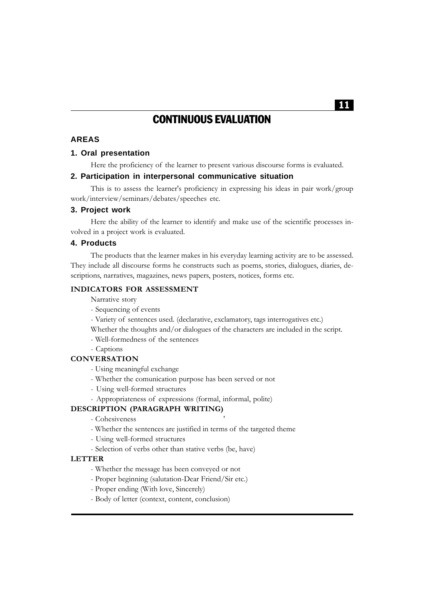# CONTINUOUS EVALUATION

#### **AREAS**

#### **1. Oral presentation**

Here the proficiency of the learner to present various discourse forms is evaluated.

#### **2. Participation in interpersonal communicative situation**

This is to assess the learner's proficiency in expressing his ideas in pair work/group work/interview/seminars/debates/speeches etc.

#### **3. Project work**

Here the ability of the learner to identify and make use of the scientific processes involved in a project work is evaluated.

#### **4. Products**

The products that the learner makes in his everyday learning activity are to be assessed. They include all discourse forms he constructs such as poems, stories, dialogues, diaries, descriptions, narratives, magazines, news papers, posters, notices, forms etc.

#### **INDICATORS FOR ASSESSMENT**

Narrative story

- Sequencing of events
- Variety of sentences used. (declarative, exclamatory, tags interrogatives etc.)

Whether the thoughts and/or dialogues of the characters are included in the script.

- Well-formedness of the sentences
- Captions

#### **CONVERSATION**

- Using meaningful exchange
- Whether the comunication purpose has been served or not
- Using well-formed structures
- Appropriateness of expressions (formal, informal, polite)

#### **DESCRIPTION (PARAGRAPH WRITING)**

- Cohesiveness '
- Whether the sentences are justified in terms of the targeted theme
- Using well-formed structures
- Selection of verbs other than stative verbs (be, have)

#### **LETTER**

- Whether the message has been conveyed or not
- Proper beginning (salutation-Dear Friend/Sir etc.)
- Proper ending (With love, Sincerely)
- Body of letter (context, content, conclusion)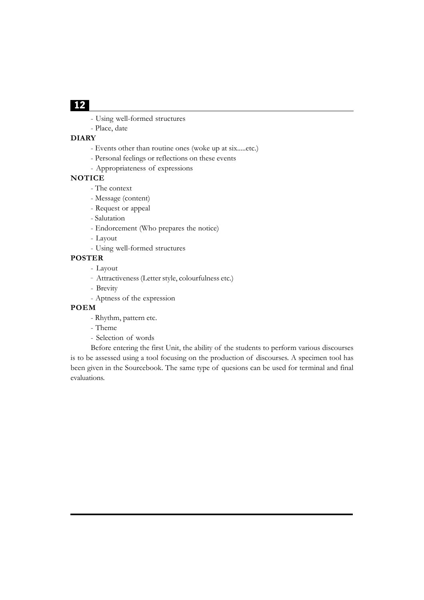- Using well-formed structures
- Place, date

#### **DIARY**

- Events other than routine ones (woke up at six.....etc.)
- Personal feelings or reflections on these events
- Appropriateness of expressions

#### **NOTICE**

- The context
- Message (content)
- Request or appeal
- Salutation
- Endorcement (Who prepares the notice)
- Layout
- Using well-formed structures

#### **POSTER**

- Layout
- \_ Attractiveness (Letter style, colourfulness etc.)
- Brevity
- Aptness of the expression

#### **POEM**

- Rhythm, pattern etc.
- Theme
- Selection of words

Before entering the first Unit, the ability of the students to perform various discourses is to be assessed using a tool focusing on the production of discourses. A specimen tool has been given in the Sourcebook. The same type of quesions can be used for terminal and final evaluations.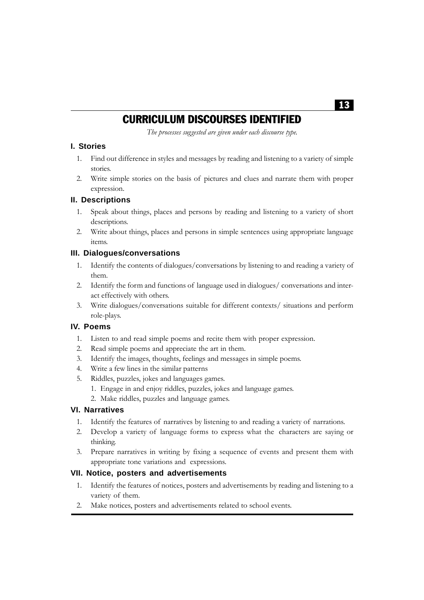# CURRICULUM DISCOURSES IDENTIFIED

*The processes suggested are given under each discourse type.*

#### **I. Stories**

- 1. Find out difference in styles and messages by reading and listening to a variety of simple stories.
- 2. Write simple stories on the basis of pictures and clues and narrate them with proper expression.

#### **II. Descriptions**

- Speak about things, places and persons by reading and listening to a variety of short descriptions.
- 2. Write about things, places and persons in simple sentences using appropriate language items.

#### **III. Dialogues/conversations**

- 1. Identify the contents of dialogues/conversations by listening to and reading a variety of them.
- 2. Identify the form and functions of language used in dialogues/ conversations and interact effectively with others.
- 3. Write dialogues/conversations suitable for different contexts/ situations and perform role-plays.

#### **IV. Poems**

- 1. Listen to and read simple poems and recite them with proper expression.
- 2. Read simple poems and appreciate the art in them.
- 3. Identify the images, thoughts, feelings and messages in simple poems.
- 4. Write a few lines in the similar patterns
- 5. Riddles, puzzles, jokes and languages games.
	- 1. Engage in and enjoy riddles, puzzles, jokes and language games.
	- 2. Make riddles, puzzles and language games.

#### **VI. Narratives**

- 1. Identify the features of narratives by listening to and reading a variety of narrations.
- 2. Develop a variety of language forms to express what the characters are saying or thinking.
- 3. Prepare narratives in writing by fixing a sequence of events and present them with appropriate tone variations and expressions.

#### **VII. Notice, posters and advertisements**

- 1. Identify the features of notices, posters and advertisements by reading and listening to a variety of them.
- 2. Make notices, posters and advertisements related to school events.

### 13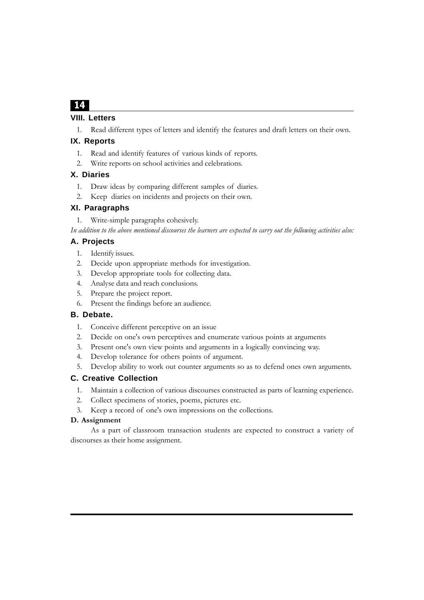#### **VIII. Letters**

1. Read different types of letters and identify the features and draft letters on their own.

#### **IX. Reports**

- 1. Read and identify features of various kinds of reports.
- 2. Write reports on school activities and celebrations.

#### **X. Diaries**

- 1. Draw ideas by comparing different samples of diaries.
- 2. Keep diaries on incidents and projects on their own.

#### **XI. Paragraphs**

1. Write-simple paragraphs cohesively.

*In addition to the above mentioned discourses the learners are expected to carry out the following activities also:*

#### **A. Projects**

- 1. Identify issues.
- 2. Decide upon appropriate methods for investigation.
- 3. Develop appropriate tools for collecting data.
- 4. Analyse data and reach conclusions.
- 5. Prepare the project report.
- 6. Present the findings before an audience.

#### **B. Debate.**

- 1. Conceive different perceptive on an issue
- 2. Decide on one's own perceptives and enumerate various points at arguments
- 3. Present one's own view points and arguments in a logically convincing way.
- 4. Develop tolerance for others points of argument.
- 5. Develop ability to work out counter arguments so as to defend ones own arguments.

#### **C. Creative Collection**

- 1. Maintain a collection of various discourses constructed as parts of learning experience.
- 2. Collect specimens of stories, poems, pictures etc.
- 3. Keep a record of one's own impressions on the collections.

#### **D. Assignment**

As a part of classroom transaction students are expected to construct a variety of discourses as their home assignment.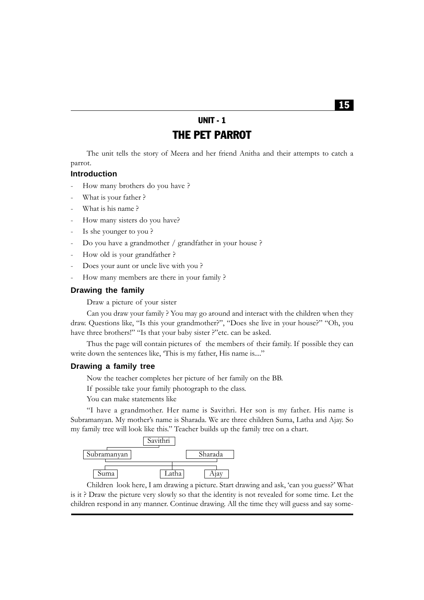# UNIT - 1 THE PET PARROT

The unit tells the story of Meera and her friend Anitha and their attempts to catch a parrot.

#### **Introduction**

- How many brothers do you have ?
- What is your father ?
- What is his name?
- How many sisters do you have?
- Is she younger to you?
- Do you have a grandmother / grandfather in your house ?
- How old is your grandfather ?
- Does your aunt or uncle live with you?
- How many members are there in your family ?

#### **Drawing the family**

Draw a picture of your sister

Can you draw your family ? You may go around and interact with the children when they draw. Questions like, "Is this your grandmother?", "Does she live in your house?" "Oh, you have three brothers!" "Is that your baby sister ?"etc. can be asked.

Thus the page will contain pictures of the members of their family. If possible they can write down the sentences like, 'This is my father, His name is....''

#### **Drawing a family tree**

Now the teacher completes her picture of her family on the BB.

If possible take your family photograph to the class.

You can make statements like

"I have a grandmother. Her name is Savithri. Her son is my father. His name is Subramanyan. My mother's name is Sharada. We are three children Suma, Latha and Ajay. So my family tree will look like this." Teacher builds up the family tree on a chart.



Children look here, I am drawing a picture. Start drawing and ask, 'can you guess?' What is it ? Draw the picture very slowly so that the identity is not revealed for some time. Let the children respond in any manner. Continue drawing. All the time they will guess and say some-

#### 15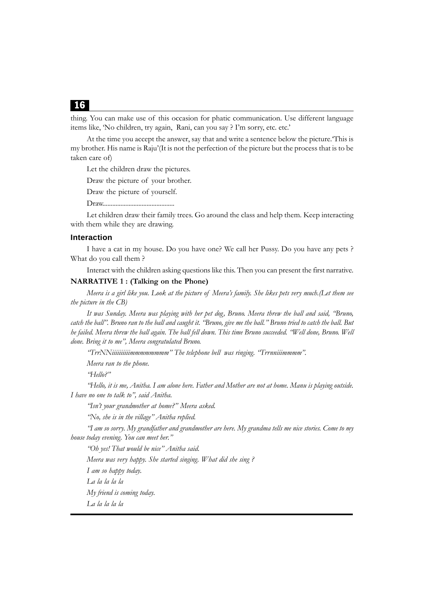thing. You can make use of this occasion for phatic communication. Use different language items like, 'No children, try again, Rani, can you say ? I'm sorry, etc. etc.'

At the time you accept the answer, say that and write a sentence below the picture.'This is my brother. His name is Raju'(It is not the perfection of the picture but the process that is to be taken care of)

Let the children draw the pictures.

Draw the picture of your brother.

Draw the picture of yourself.

Draw............................................

Let children draw their family trees. Go around the class and help them. Keep interacting with them while they are drawing.

#### **Interaction**

I have a cat in my house. Do you have one? We call her Pussy. Do you have any pets ? What do you call them ?

Interact with the children asking questions like this. Then you can present the first narrative.

#### **NARRATIVE 1 : (Talking on the Phone)**

*Meera is a girl like you. Look at the picture of Meera's family. She likes pets very much.(Let them see the picture in the CB)*

*It was Sunday. Meera was playing with her pet dog, Bruno. Meera threw the ball and said, "Bruno, catch the ball". Bruno ran to the ball and caught it. "Bruno, give me the ball." Bruno tried to catch the ball. But he failed. Meera threw the ball again. The ball fell down. This time Bruno succeeded. "Well done, Bruno. Well done. Bring it to me", Meera congratulated Bruno.*

*"TrrNNiiiiiiiiiimmmmmmmm" The telephone bell was ringing. "Trrnniiimmmm".*

*Meera ran to the phone.*

*"Hello?"*

*"Hello, it is me, Anitha. I am alone here. Father and Mother are not at home. Manu is playing outside. I have no one to talk to", said Anitha.*

*"Isn't your grandmother at home?" Meera asked.*

*"No, she is in the village" Anitha replied.*

*"I am so sorry. My grandfather and grandmother are here. My grandma tells me nice stories. Come to my house today evening. You can meet her."*

*"Oh yes! That would be nice" Anitha said.*

*Meera was very happy. She started singing. What did she sing ?*

*I am so happy today.*

*La la la la la*

*My friend is coming today.*

*La la la la la*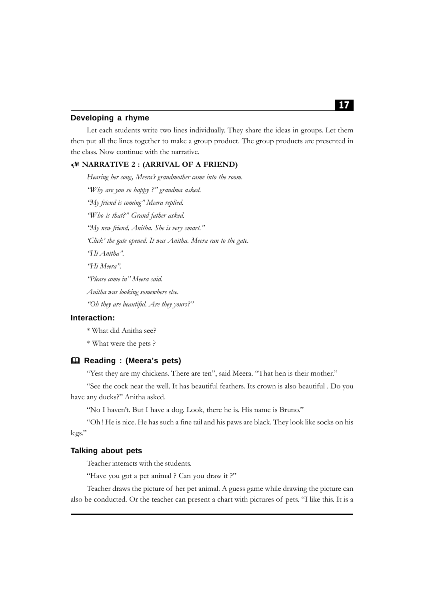#### **Developing a rhyme**

Let each students write two lines individually. They share the ideas in groups. Let them then put all the lines together to make a group product. The group products are presented in the class. Now continue with the narrative.

#### 8 **NARRATIVE 2 : (ARRIVAL OF A FRIEND)**

*Hearing her song, Meera's grandmother came into the room. "Why are you so happy ?" grandma asked. "My friend is coming" Meera replied. "Who is that?" Grand father asked. "My new friend, Anitha. She is very smart." 'Click' the gate opened. It was Anitha. Meera ran to the gate. "Hi Anitha". "Hi Meera". "Please come in" Meera said. Anitha was looking somewhere else. "Oh they are beautiful. Are they yours?"*

#### **Interaction:**

\* What did Anitha see?

\* What were the pets ?

#### **Reading : (Meera's pets)**

"Yest they are my chickens. There are ten", said Meera. "That hen is their mother."

"See the cock near the well. It has beautiful feathers. Its crown is also beautiful . Do you have any ducks?" Anitha asked.

"No I haven't. But I have a dog. Look, there he is. His name is Bruno."

"Oh ! He is nice. He has such a fine tail and his paws are black. They look like socks on his legs."

#### **Talking about pets**

Teacher interacts with the students.

"Have you got a pet animal ? Can you draw it ?"

Teacher draws the picture of her pet animal. A guess game while drawing the picture can also be conducted. Or the teacher can present a chart with pictures of pets. "I like this. It is a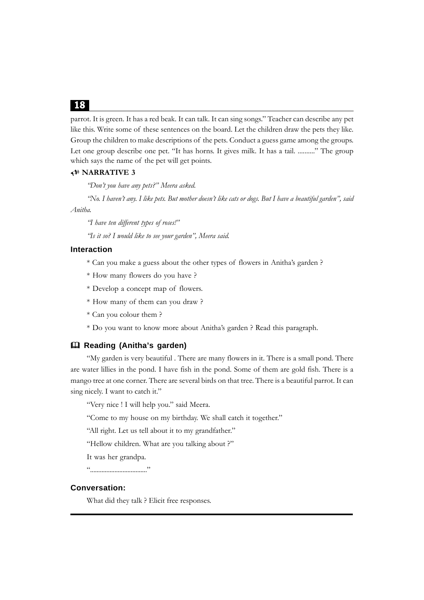parrot. It is green. It has a red beak. It can talk. It can sing songs." Teacher can describe any pet like this. Write some of these sentences on the board. Let the children draw the pets they like. Group the children to make descriptions of the pets. Conduct a guess game among the groups. Let one group describe one pet. "It has horns. It gives milk. It has a tail. .........." The group which says the name of the pet will get points.

#### 8 **NARRATIVE 3**

*"Don't you have any pets?" Meera asked.*

*"No. I haven't any. I like pets. But mother doesn't like cats or dogs. But I have a beautiful garden", said Anitha.*

*"I have ten different types of roses!"*

*"Is it so? I would like to see your garden", Meera said.*

#### **Interaction**

- \* Can you make a guess about the other types of flowers in Anitha's garden ?
- \* How many flowers do you have ?
- \* Develop a concept map of flowers.
- \* How many of them can you draw ?
- \* Can you colour them ?
- \* Do you want to know more about Anitha's garden ? Read this paragraph.

#### **Reading (Anitha's garden)**

"My garden is very beautiful . There are many flowers in it. There is a small pond. There are water lillies in the pond. I have fish in the pond. Some of them are gold fish. There is a mango tree at one corner. There are several birds on that tree. There is a beautiful parrot. It can sing nicely. I want to catch it."

"Very nice ! I will help you." said Meera.

"Come to my house on my birthday. We shall catch it together."

"All right. Let us tell about it to my grandfather."

"Hellow children. What are you talking about ?"

It was her grandpa.

"..................................."

#### **Conversation:**

What did they talk ? Elicit free responses.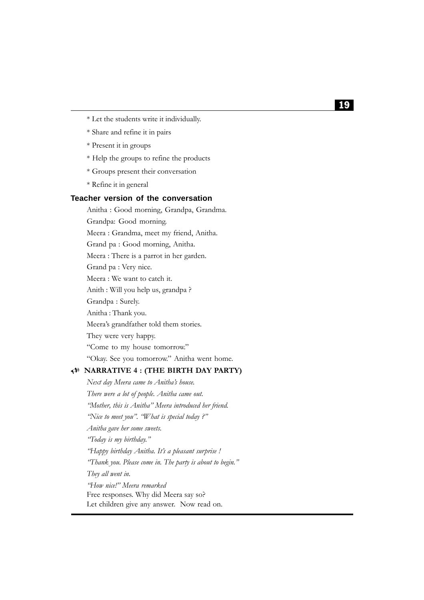- \* Let the students write it individually.
- \* Share and refine it in pairs
- \* Present it in groups
- \* Help the groups to refine the products
- \* Groups present their conversation
- \* Refine it in general

#### **Teacher version of the conversation**

Anitha : Good morning, Grandpa, Grandma.

Grandpa: Good morning.

Meera : Grandma, meet my friend, Anitha.

Grand pa : Good morning, Anitha.

Meera : There is a parrot in her garden.

Grand pa : Very nice.

Meera : We want to catch it.

Anith : Will you help us, grandpa ?

Grandpa : Surely.

Anitha : Thank you.

Meera's grandfather told them stories.

They were very happy.

"Come to my house tomorrow."

"Okay. See you tomorrow." Anitha went home.

#### 8 **NARRATIVE 4 : (THE BIRTH DAY PARTY)**

*Next day Meera came to Anitha's house. There were a lot of people. Anitha came out. "Mother, this is Anitha" Meera introduced her friend. "Nice to meet you". "What is special today ?" Anitha gave her some sweets. "Today is my birthday." "Happy birthday Anitha. It's a pleasant surprise ! "Thank you. Please come in. The party is about to begin." They all went in. "How nice!" Meera remarked* Free responses. Why did Meera say so?

Let children give any answer. Now read on.

#### 19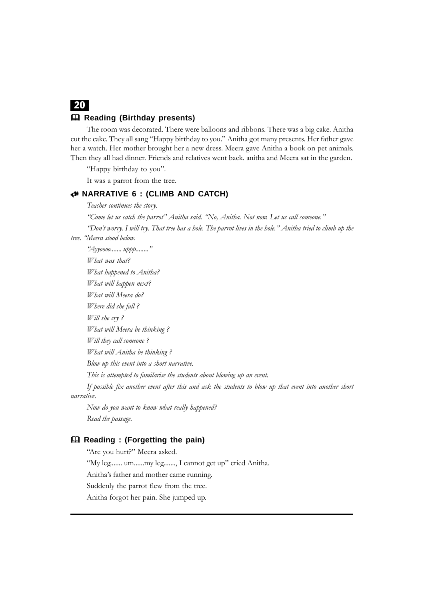#### **Reading (Birthday presents)**

The room was decorated. There were balloons and ribbons. There was a big cake. Anitha cut the cake. They all sang "Happy birthday to you." Anitha got many presents. Her father gave her a watch. Her mother brought her a new dress. Meera gave Anitha a book on pet animals. Then they all had dinner. Friends and relatives went back. anitha and Meera sat in the garden.

"Happy birthday to you".

It was a parrot from the tree.

#### 8 **NARRATIVE 6 : (CLIMB AND CATCH)**

*Teacher continues the story.*

*"Come let us catch the parrot" Anitha said. "No, Anitha. Not now. Let us call someone."*

*"Don't worry. I will try. That tree has a hole. The parrot lives in the hole." Anitha tried to climb up the tree. "Meera stood below.*

*"Ayyoooo....... uppp........" What was that? What happened to Anitha? What will happen next? What will Meera do? Where did she fall ? Will she cry ? What will Meera be thinking ? Will they call someone ? What will Anitha be thinking ? Blow up this event into a short narrative. This is attempted to familarise the students about blowing up an event. If possible fix another event after this and ask the students to blow up that event into another short narrative.*

*Now do you want to know what really happened? Read the passage.*

#### **Reading : (Forgetting the pain)**

"Are you hurt?" Meera asked.

"My leg....... um......my leg......., I cannot get up" cried Anitha.

Anitha's father and mother came running.

Suddenly the parrot flew from the tree.

Anitha forgot her pain. She jumped up.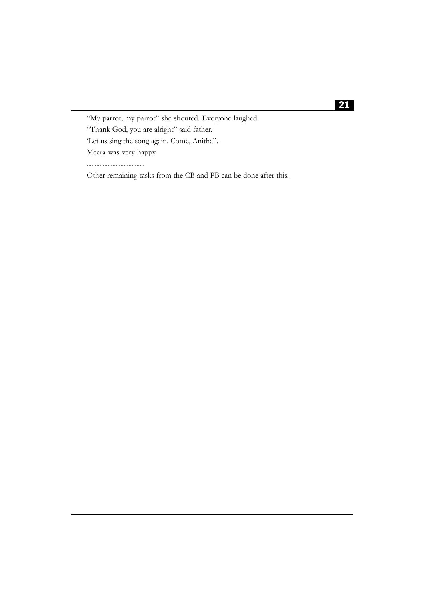"My parrot, my parrot" she shouted. Everyone laughed.

"Thank God, you are alright" said father.

'Let us sing the song again. Come, Anitha".

Meera was very happy.

....................................

Other remaining tasks from the CB and PB can be done after this.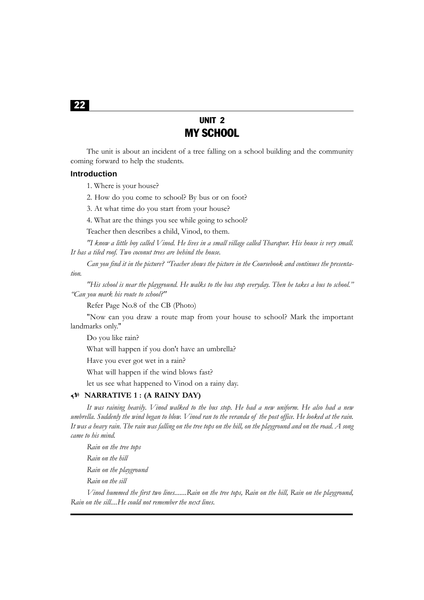# UNIT 2 MY SCHOOL

The unit is about an incident of a tree falling on a school building and the community coming forward to help the students.

#### **Introduction**

1. Where is your house?

2. How do you come to school? By bus or on foot?

3. At what time do you start from your house?

4. What are the things you see while going to school?

Teacher then describes a child, Vinod, to them.

*"I know a little boy called Vinod. He lives in a small village called Tharapur. His house is very small. It has a tiled roof. Two coconut trees are behind the house.*

*Can you find it in the picture? "Teacher shows the picture in the Coursebook and continues the presentation.*

*"His school is near the playground. He walks to the bus stop everyday. Then he takes a bus to school." "Can you mark his route to school?"*

Refer Page No.8 of the CB (Photo)

"Now can you draw a route map from your house to school? Mark the important landmarks only."

Do you like rain?

What will happen if you don't have an umbrella?

Have you ever got wet in a rain?

What will happen if the wind blows fast?

let us see what happened to Vinod on a rainy day.

#### 8 **NARRATIVE 1 : (A RAINY DAY)**

*It was raining heavily. Vinod walked to the bus stop. He had a new uniform. He also had a new umbrella. Suddenly the wind began to blow. Vinod ran to the veranda of the post office. He looked at the rain. It was a heavy rain. The rain was falling on the tree tops on the hill, on the playground and on the road. A song came to his mind.*

*Rain on the tree tops Rain on the hill Rain on the playground Rain on the sill*

*Vinod hummed the first two lines.......Rain on the tree tops, Rain on the hill, Rain on the playground, Rain on the sill....He could not remember the next lines.*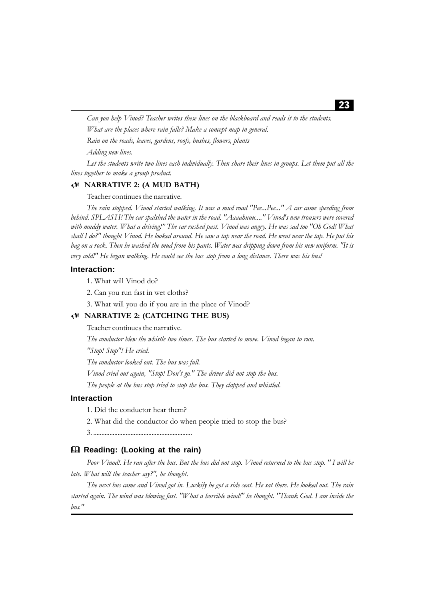*Can you help Vinod? Teacher writes these lines on the blackboard and reads it to the students. What are the places where rain falls? Make a concept map in general. Rain on the roads, leaves, gardens, roofs, bushes, flowers, plants*

*Adding new lines.*

*Let the students write two lines each individually. Then share their lines in groups. Let them put all the lines together to make a group product.*

#### 8 **NARRATIVE 2: (A MUD BATH)**

Teacher continues the narrative.

*The rain stopped. Vinod started walking. It was a mud road "Pee...Pee..." A car came speeding from behind. SPLASH! The car spalshed the water in the road. "Aaaahuuu...." Vinod's new trousers were covered with muddy water. What a driving!" The car rushed past. Vinod was angry. He was sad too "Oh God! What shall I do?" thought Vinod. He looked around. He saw a tap near the road. He went near the tap. He put his bag on a rock. Then he washed the mud from his pants. Water was dripping down from his new uniform. "It is very cold!" He began walking. He could see the bus stop from a long distance. There was his bus!*

#### **Interaction:**

1. What will Vinod do?

2. Can you run fast in wet cloths?

3. What will you do if you are in the place of Vinod?

#### 8 **NARRATIVE 2: (CATCHING THE BUS)**

Teacher continues the narrative.

*The conductor blew the whistle two times. The bus started to move. Vinod began to run.*

*"Stop! Stop"! He cried.*

*The conductor looked out. The bus was full.*

*Vinod cried out again, "Stop! Don't go." The driver did not stop the bus.*

*The people at the bus stop tried to stop the bus. They clapped and whistled.*

#### **Interaction**

1. Did the conductor hear them?

2. What did the conductor do when people tried to stop the bus?

3. .............................................................

#### **Reading: (Looking at the rain)**

*Poor Vinod!. He ran after the bus. But the bus did not stop. Vinod returned to the bus stop. " I will be late. What will the teacher say?", he thought.*

*The next bus came and Vinod got in. Luckily he got a side seat. He sat there. He looked out. The rain started again. The wind was blowing fast. "What a horrible wind!" he thought. "Thank God. I am inside the bus."*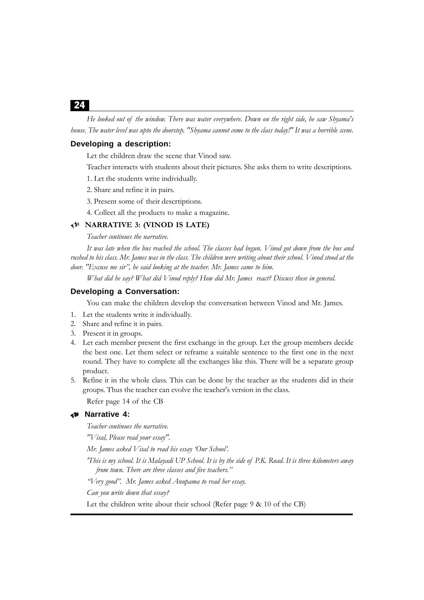*He looked out of the window. There was water everywhere. Down on the right side, he saw Shyama's house. The water level was upto the doorstep. "Shyama cannot come to the class today!" It was a horrible scene.*

#### **Developing a description:**

Let the children draw the scene that Vinod saw.

- Teacher interacts with students about their pictures. She asks them to write descriptions.
- 1. Let the students write individually.
- 2. Share and refine it in pairs.
- 3. Present some of their descrtiptions.
- 4. Collect all the products to make a magazine.

#### 8 **NARRATIVE 3: (VINOD IS LATE)**

#### *Teacher continues the narrative.*

*It was late when the bus reached the school. The classes had begun. Vinod got down from the bus and rushed to his class. Mr. James was in the class. The children were writing about their school. Vinod stood at the door. "Excuse me sir", he said looking at the teacher. Mr. James came to him.*

*What did he say? What did Vinod reply? How did Mr. James react? Discuss these in general.*

#### **Developing a Conversation:**

You can make the children develop the conversation between Vinod and Mr. James.

- 1. Let the students write it individually.
- 2. Share and refine it in pairs.
- 3. Present it in groups.
- 4. Let each member present the first exchange in the group. Let the group members decide the best one. Let them select or reframe a suitable sentence to the first one in the next round. They have to complete all the exchanges like this. There will be a separate group product.
- 5. Refine it in the whole class. This can be done by the teacher as the students did in their groups. Thus the teacher can evolve the teacher's version in the class.

Refer page 14 of the CB

#### 8 **Narrative 4:**

*Teacher continues the narrative.*

*"Visal, Please read your essay".*

*Mr. James asked Visal to read his essay 'Our School'.*

*'This is my school. It is Malayadi UP School. It is by the side of P.K. Road. It is three kilometers away from town. There are three classes and five teachers."*

*"Very good". Mr. James asked Anupama to read her essay.*

*Can you write down that essay?*

Let the children write about their school (Refer page 9 & 10 of the CB)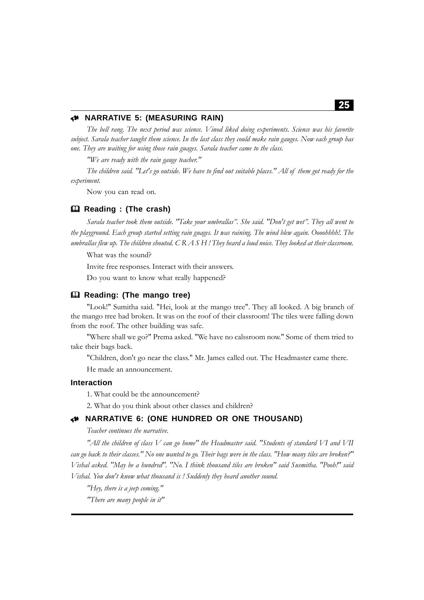#### 8 **NARRATIVE 5: (MEASURING RAIN)**

*The bell rang. The next period was science. Vinod liked doing experiments. Science was his favorite subject. Sarala teacher taught them science. In the last class they could make rain gauges. Now each group has one. They are waiting for using those rain guages. Sarala teacher came to the class.*

*"We are ready with the rain gauge teacher."*

*The children said. "Let's go outside. We have to find out suitable places." All of them got ready for the experiment.*

Now you can read on.

#### **Reading : (The crash)**

*Sarala teacher took them outside. "Take your umbrallas". She said. "Don't get wet". They all went to the playground. Each group started setting rain guages. It was raining. The wind blew again. Oooohhhh!. The umbrallas flew up. The children shouted. C R A S H ! They heard a loud noice. They looked at their classroom.*

What was the sound?

Invite free responses. Interact with their answers.

Do you want to know what really happened?

#### **Reading: (The mango tree)**

"Look!" Sumitha said. "Hei, look at the mango tree". They all looked. A big branch of the mango tree had broken. It was on the roof of their classroom! The tiles were falling down from the roof. The other building was safe.

"Where shall we go?" Prema asked. "We have no calssroom now." Some of them tried to take their bags back.

"Children, don't go near the class." Mr. James called out. The Headmaster came there.

He made an announcement.

#### **Interaction**

1. What could be the announcement?

2. What do you think about other classes and children?

#### 8 **NARRATIVE 6: (ONE HUNDRED OR ONE THOUSAND)**

*Teacher continues the narrative.*

*"All the children of class V can go home" the Headmaster said. "Students of standard VI and VII can go back to their classes." No one wanted to go. Their bags were in the class. "How many tiles are broken?" Vishal asked. "May be a hundred". "No. I think thousand tiles are broken" said Susmitha. "Pooh!" said Vishal. You don't know what thousand is ! Suddenly they heard another sound.*

*"Hey, there is a jeep coming."*

*"There are many people in it"*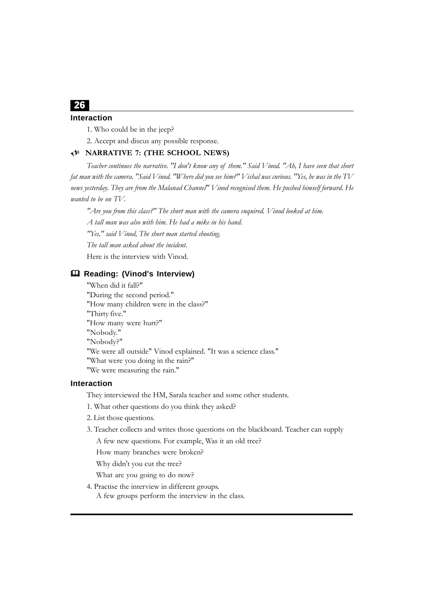#### 26 **Interaction**

1. Who could be in the jeep?

2. Accept and discus any possible response.

#### 8 **NARRATIVE 7: (THE SCHOOL NEWS)**

*Teacher continues the narrative. "I don't know any of them." Said Vinod. "Ah, I have seen that short fat man with the camera. "Said Vinod. "Where did you see him?" Vishal was curious. "Yes, he was in the TV news yesterday. They are from the Malanad Channel" Vinod recognised them. He pushed himself forward. He wanted to be on TV.*

*"Are you from this class?" The short man with the camera enquired. Vinod looked at him.*

*A tall man was also with him. He had a mike in his hand.*

*"Yes," said Vinod, The short man started shooting.*

*The tall man asked about the incident.*

Here is the interview with Vinod.

#### **Reading: (Vinod's Interview)**

"When did it fall?" "During the second period." "How many children were in the class?" "Thirty five." "How many were hurt?" "Nobody." "Nobody?" "We were all outside" Vinod explained. "It was a science class." "What were you doing in the rain?" "We were measuring the rain."

#### **Interaction**

They interviewed the HM, Sarala teacher and some other students.

1. What other questions do you think they asked?

- 2. List those questions.
- 3. Teacher collects and writes those questions on the blackboard. Teacher can supply

A few new questions. For example, Was it an old tree?

How many branches were broken?

Why didn't you cut the tree?

What are you going to do now?

4. Practise the interview in different groups. A few groups perform the interview in the class.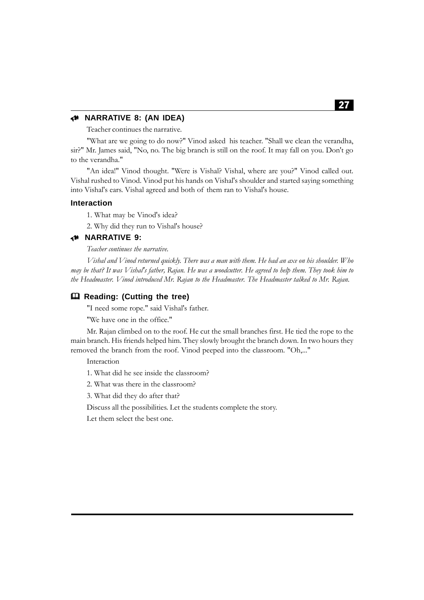#### 8 **NARRATIVE 8: (AN IDEA)**

Teacher continues the narrative.

"What are we going to do now?" Vinod asked his teacher. "Shall we clean the verandha, sir?" Mr. James said, "No, no. The big branch is still on the roof. It may fall on you. Don't go to the verandha."

"An idea!" Vinod thought. "Were is Vishal? Vishal, where are you?" Vinod called out. Vishal rushed to Vinod. Vinod put his hands on Vishal's shoulder and started saying something into Vishal's ears. Vishal agreed and both of them ran to Vishal's house.

#### **Interaction**

1. What may be Vinod's idea?

2. Why did they run to Vishal's house?

#### 8 **NARRATIVE 9:**

*Teacher continues the narrative.*

*Vishal and Vinod returned quickly. There was a man with them. He had an axe on his shoulder. Who may be that? It was Vishal's father, Rajan. He was a woodcutter. He agreed to help them. They took him to the Headmaster. Vinod introduced Mr. Rajan to the Headmaster. The Headmaster talked to Mr. Rajan.*

#### **Reading: (Cutting the tree)**

"I need some rope." said Vishal's father.

"We have one in the office."

Mr. Rajan climbed on to the roof. He cut the small branches first. He tied the rope to the main branch. His friends helped him. They slowly brought the branch down. In two hours they removed the branch from the roof. Vinod peeped into the classroom. "Oh,..."

Interaction

1. What did he see inside the classroom?

2. What was there in the classroom?

3. What did they do after that?

Discuss all the possibilities. Let the students complete the story.

Let them select the best one.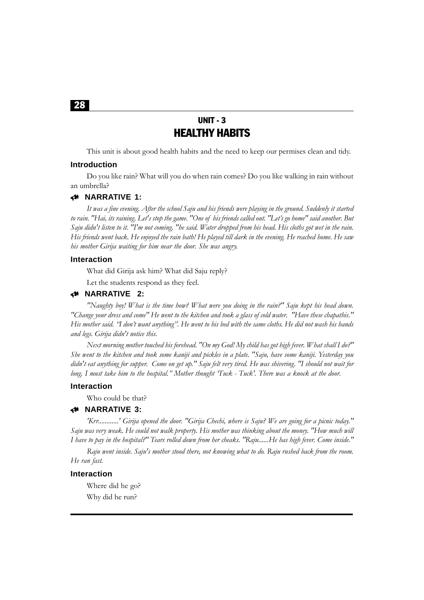## UNIT - 3 HEALTHY HABITS

This unit is about good health habits and the need to keep our permises clean and tidy.

#### **Introduction**

Do you like rain? What will you do when rain comes? Do you like walking in rain without an umbrella?

#### 8 **NARRATIVE 1:**

*It was a fine evening. After the school Saju and his friends were playing in the ground. Suddenly it started to rain. "Hai, its raining. Let's stop the game. "One of his friends called out. "Let's go home" said another. But Saju didn't listen to it. "I'm not coming. "he said. Water dropped from his head. His cloths got wet in the rain. His friends went back. He enjoyed the rain bath! He played till dark in the evening. He reached home. He saw his mother Girija waiting for him near the door. She was angry.*

#### **Interaction**

What did Girija ask him? What did Saju reply?

Let the students respond as they feel.

#### 8 **NARRATIVE 2:**

*"Naughty boy! What is the time how? What were you doing in the rain?" Saju kept his head down. "Change your dress and come" He went to the kitchen and took a glass of cold water. "Have these chapathis." His mother said. "I don't want anything". He went to his bed with the same cloths. He did not wash his hands and legs. Girija didn't notice this.*

*Next morning mother touched his forehead. "On my God! My child has got high fever. What shall I do?" She went to the kitchen and took some kaniji and pickles in a plate. "Saju, have some kaniji. Yesterday you didn't eat anything for supper. Come on get up." Saju felt very tired. He was shivering. "I should not wait for long. I must take him to the hospital." Mother thought 'Tuck - Tuck'. There was a knock at the door.*

#### **Interaction**

Who could be that?

#### 8 **NARRATIVE 3:**

*'Krr............' Girija opened the door. "Girija Chechi, where is Saju? We are going for a picnic today." Saju was very weak. He could not walk property. His mother was thinking about the money. "How much will I have to pay in the hospital?" Tears rolled down from her cheaks. "Raju......He has high fever. Come inside."*

*Raju went inside. Saju's mother stood there, not knowing what to do. Raju rushed back from the room. He ran fast.*

#### **Interaction**

Where did he go? Why did he run?

28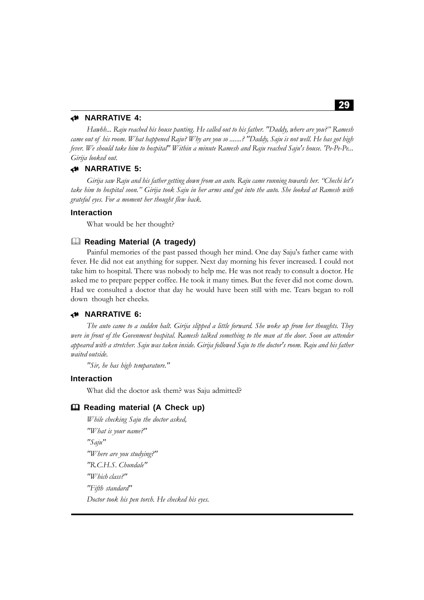#### 8 **NARRATIVE 4:**

*Hawhh... Raju reached his house panting. He called out to his father. "Daddy, where are you?" Ramesh came out of his room. What happened Raju? Why are you so .......? "Daddy, Saju is not well. He has got high fever. We should take him to hospital" Within a minute Ramesh and Raju reached Saju's house. 'Pe-Pe-Pe... Girija looked out.*

#### 8 **NARRATIVE 5:**

*Girija saw Raju and his father getting down from an auto. Raju came running towards her. "Chechi let's take him to hospital soon." Girija took Saju in her arms and got into the auto. She looked at Ramesh with grateful eyes. For a moment her thought flew back.*

#### **Interaction**

What would be her thought?

#### **Reading Material (A tragedy)**

Painful memories of the past passed though her mind. One day Saju's father came with fever. He did not eat anything for supper. Next day morning his fever increased. I could not take him to hospital. There was nobody to help me. He was not ready to consult a doctor. He asked me to prepare pepper coffee. He took it many times. But the fever did not come down. Had we consulted a doctor that day he would have been still with me. Tears began to roll down though her cheeks.

#### 8 **NARRATIVE 6:**

*The auto came to a sudden halt. Girija slipped a little forward. She woke up from her thoughts. They were in front of the Govenment hospital. Ramesh talked something to the man at the door. Soon an attender appeared with a stretcher. Saju was taken inside. Girija followed Saju to the doctor's room. Raju and his father waited outside.*

*"Sir, he has high temparature."*

#### **Interaction**

What did the doctor ask them? was Saju admitted?

#### **Reading material (A Check up)**

*While checking Saju the doctor asked, "What is your name?" "Saju" "Where are you studying?" "R.C.H.S. Chundale" "Which class?" "Fifth standard" Doctor took his pen torch. He checked his eyes.*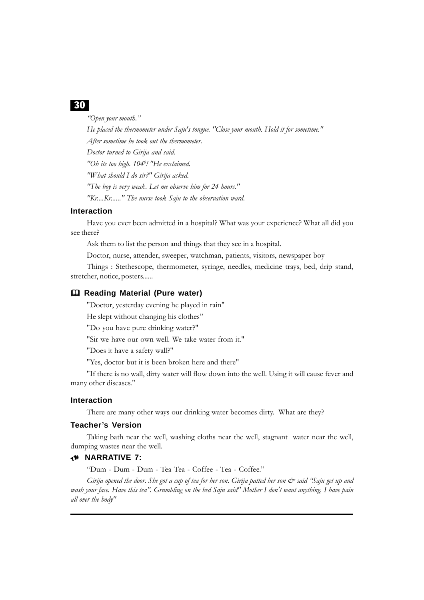*"Open your mouth."*

*He placed the thermometer under Saju's tongue. "Close your mouth. Hold it for sometime." After sometime he took out the thermometer. Doctor turned to Girija and said. "Oh its too high. 1040 ! "He exclaimed. "What should I do sir?" Girija asked. "The boy is very weak. Let me observe him for 24 hours." "Kr....Kr......" The nurse took Saju to the observation ward.*

#### **Interaction**

Have you ever been admitted in a hospital? What was your experience? What all did you see there?

Ask them to list the person and things that they see in a hospital.

Doctor, nurse, attender, sweeper, watchman, patients, visitors, newspaper boy

Things : Stethescope, thermometer, syringe, needles, medicine trays, bed, drip stand, stretcher, notice, posters......

#### **Reading Material (Pure water)**

"Doctor, yesterday evening he played in rain"

He slept without changing his clothes"

"Do you have pure drinking water?"

"Sir we have our own well. We take water from it."

"Does it have a safety wall?"

"Yes, doctor but it is been broken here and there"

"If there is no wall, dirty water will flow down into the well. Using it will cause fever and many other diseases."

#### **Interaction**

There are many other ways our drinking water becomes dirty. What are they?

#### **Teacher's Version**

Taking bath near the well, washing cloths near the well, stagnant water near the well, dumping wastes near the well.

#### 8 **NARRATIVE 7:**

"Dum - Dum - Dum - Tea Tea - Coffee - Tea - Coffee."

*Girija opened the door. She got a cup of tea for her son. Girija patted her son*  $\breve{c}$  *said "Saju get up and wash your face. Have this tea". Grumbling on the bed Saju said" Mother I don't want anything. I have pain all over the body"*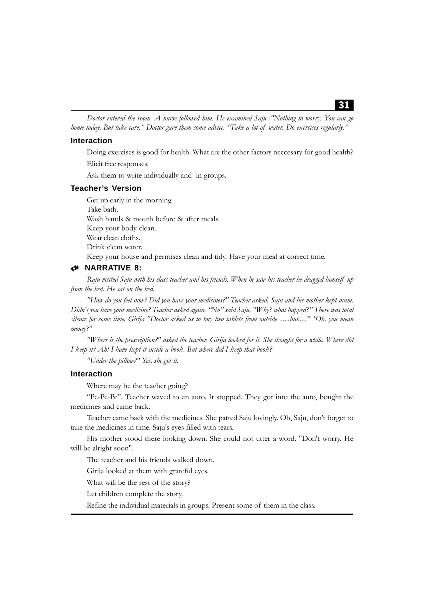*Doctor entered the room. A nurse followed him. He examined Saju. "Nothing to worry. You can go home today. But take care." Doctor gave them some advice. "Take a lot of water. Do exercises regularly."*

#### **Interaction**

Doing exercises is good for health. What are the other factors neccesary for good health? Elicit free responses.

Ask them to write individually and in groups.

#### **Teacher's Version**

Get up early in the morning. Take bath. Wash hands & mouth before & after meals. Keep your body clean. Wear clean cloths. Drink clean water. Keep your house and permises clean and tidy. Have your meal at correct time.

#### 8 **NARRATIVE 8:**

*Raju visited Saju with his class teacher and his friends. When he saw his teacher he dragged himself up from the bed. He sat on the bed.*

*"How do you feel now? Did you have your medicines?" Teacher asked, Saju and his mother kept mum. Didn't you have your medicine? Teacher asked again. "No" said Saju, "Why? what happed?" There was total silence for some time. Girija "Doctor asked us to buy two tablets from outside ......but....." "Oh, you mean money?"*

*"Where is the prescription?" asked the teacher. Girija looked for it. She thought for a while. Where did I keep it? Ah! I have kept it inside a book. But where did I keep that book?*

*"Under the pillow?" Yes, she got it.*

#### **Interaction**

Where may be the teacher going?

"Pe-Pe-Pe". Teacher waved to an auto. It stopped. They got into the auto, bought the medicines and came back.

Teacher came back with the medicines. She patted Saju lovingly. Oh, Saju, don't forget to take the medicines in time. Saju's eyes filled with tears.

His mother stood there looking down. She could not utter a word. "Don't worry. He will be alright soon".

The teacher and his friends walked down.

Girija looked at them with grateful eyes.

What will be the rest of the story?

Let children complete the story.

Refine the individual materials in groups. Present some of them in the class.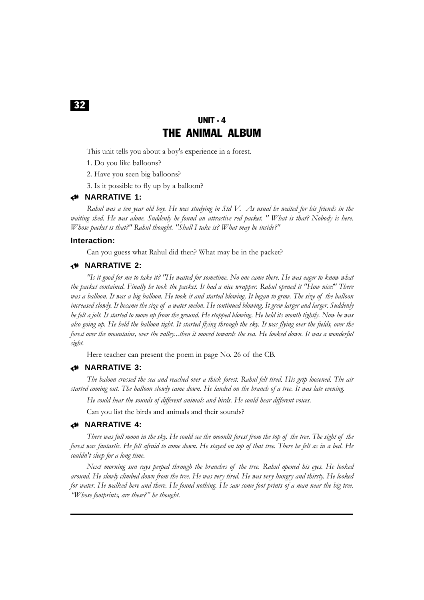# UNIT - 4 THE ANIMAL ALBUM

This unit tells you about a boy's experience in a forest.

- 1. Do you like balloons?
- 2. Have you seen big balloons?
- 3. Is it possible to fly up by a balloon?

#### 8 **NARRATIVE 1:**

*Rahul was a ten year old boy. He was studying in Std V. As usual he waited for his friends in the waiting shed. He was alone. Suddenly he found an attractive red packet. " What is that? Nobody is here. Whose packet is that?" Rahul thought. "Shall I take is? What may be inside?"*

#### **Interaction:**

Can you guess what Rahul did then? What may be in the packet?

#### 8 **NARRATIVE 2:**

*"Is it good for me to take it? "He waited for sometime. No one came there. He was eager to know what the packet contained. Finally he took the packet. It had a nice wrapper. Rahul opened it "How nice!" There was a balloon. It was a big balloon. He took it and started blowing. It began to grow. The size of the balloon increased slowly. It became the size of a water melon. He continued blowing. It grew larger and larger. Suddenly he felt a jolt. It started to move up from the ground. He stopped blowing. He held its month tightly. Now he was also going up. He held the balloon tight. It started flying through the sky. It was flying over the fields, over the forest over the mountains, over the valley...then it moved towards the sea. He looked down. It was a wonderful sight.*

Here teacher can present the poem in page No. 26 of the CB.

#### 8 **NARRATIVE 3:**

*The baloon crossed the sea and reached over a thick forest. Rahul felt tired. His grip loosened. The air started coming out. The balloon slowly came down. He landed on the branch of a tree. It was late evening.*

*He could hear the sounds of different animals and birds. He could hear different voices.*

Can you list the birds and animals and their sounds?

#### 8 **NARRATIVE 4:**

*There was full moon in the sky. He could see the moonlit forest from the top of the tree. The sight of the forest was fantastic. He felt afraid to come down. He stayed on top of that tree. There he felt as in a bed. He couldn't sleep for a long time.*

*Next morning sun rays peeped through the branches of the tree. Rahul opened his eyes. He looked around. He slowly climbed down from the tree. He was very tired. He was very hungry and thirsty. He looked for water. He walked here and there. He found nothing. He saw some foot prints of a man near the big tree. "Whose footprints, are these?" he thought.*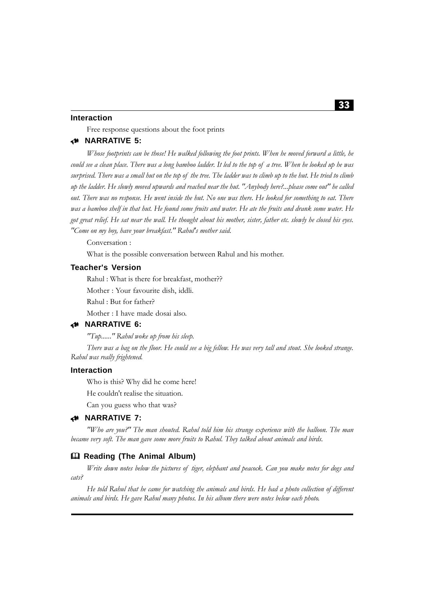#### **Interaction**

Free response questions about the foot prints

#### 8 **NARRATIVE 5:**

*Whose footprints can be those! He walked following the foot prints. When he moved forward a little, he could see a clean place. There was a long bamboo ladder. It led to the top of a tree. When he looked up he was surprised. There was a small hut on the top of the tree. The ladder was to climb up to the hut. He tried to climb up the ladder. He slowly moved upwards and reached near the hut. "Anybody here?...please come out" he called out. There was no response. He went inside the hut. No one was there. He looked for something to eat. There was a bamboo shelf in that hut. He found some fruits and water. He ate the fruits and drank some water. He got great relief. He sat near the wall. He thought about his mother, sister, father etc. slowly he closed his eyes. "Come on my boy, have your breakfast." Rahul's mother said.*

Conversation :

What is the possible conversation between Rahul and his mother.

#### **Teacher's Version**

Rahul : What is there for breakfast, mother?? Mother : Your favourite dish, iddli. Rahul : But for father? Mother : I have made dosai also.

#### 8 **NARRATIVE 6:**

*"Tup......" Rahul woke up from his sleep. There was a bag on the floor. He could see a big fellow. He was very tall and stout. She looked strange. Rahul was really frightened.*

#### **Interaction**

Who is this? Why did he come here!

He couldn't realise the situation.

Can you guess who that was?

#### 8 **NARRATIVE 7:**

*"Who are you?" The man shouted. Rahul told him his strange experience with the balloon. The man became very soft. The man gave some more fruits to Rahul. They talked about animals and birds.*

#### **Reading (The Animal Album)**

*Write down notes below the pictures of tiger, elephant and peacock. Can you make notes for dogs and cats?*

*He told Rahul that he came for watching the animals and birds. He had a photo collection of different animals and birds. He gave Rahul many photos. In his album there were notes below each photo.*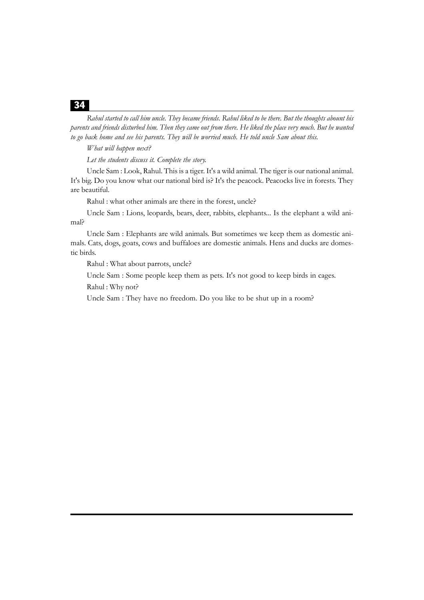*Rahul started to call him uncle. They became friends. Rahul liked to be there. But the thoughts abount his parents and friends disturbed him. Then they came out from there. He liked the place very much. But he wanted to go back home and see his parents. They will be worried much. He told uncle Sam about this.*

*What will happen next?*

*Let the students discuss it. Complete the story.*

Uncle Sam : Look, Rahul. This is a tiger. It's a wild animal. The tiger is our national animal. It's big. Do you know what our national bird is? It's the peacock. Peacocks live in forests. They are beautiful.

Rahul : what other animals are there in the forest, uncle?

Uncle Sam : Lions, leopards, bears, deer, rabbits, elephants... Is the elephant a wild animal?

Uncle Sam : Elephants are wild animals. But sometimes we keep them as domestic animals. Cats, dogs, goats, cows and buffaloes are domestic animals. Hens and ducks are domestic birds.

Rahul : What about parrots, uncle?

Uncle Sam : Some people keep them as pets. It's not good to keep birds in cages.

Rahul : Why not?

Uncle Sam : They have no freedom. Do you like to be shut up in a room?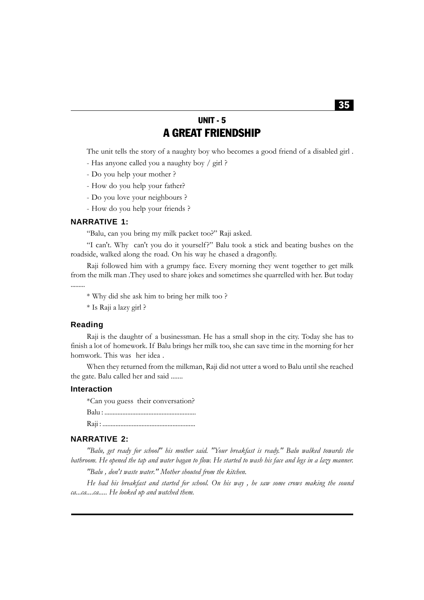## UNIT - 5 A GREAT FRIENDSHIP

The unit tells the story of a naughty boy who becomes a good friend of a disabled girl .

- Has anyone called you a naughty boy / girl ?
- Do you help your mother ?
- How do you help your father?
- Do you love your neighbours ?
- How do you help your friends ?

#### **NARRATIVE 1:**

"Balu, can you bring my milk packet too?" Raji asked.

"I can't. Why can't you do it yourself?" Balu took a stick and beating bushes on the roadside, walked along the road. On his way he chased a dragonfly.

Raji followed him with a grumpy face. Every morning they went together to get milk from the milk man .They used to share jokes and sometimes she quarrelled with her. But today .........

\* Why did she ask him to bring her milk too ?

\* Is Raji a lazy girl ?

#### **Reading**

Raji is the daughtr of a businessman. He has a small shop in the city. Today she has to finish a lot of homework. If Balu brings her milk too, she can save time in the morning for her homwork. This was her idea .

When they returned from the milkman, Raji did not utter a word to Balu until she reached the gate. Balu called her and said .......

#### **Interaction**

\*Can you guess their conversation? Balu : ........................................................ Raji : .........................................................

#### **NARRATIVE 2:**

*"Balu, get ready for school" his mother said. "Your breakfast is ready." Balu walked towards the bathroom. He opened the tap and water bagan to flow. He started to wash his face and legs in a lazy manner.*

*"Balu , don't waste water." Mother shouted from the kitchen.*

*He had his breakfast and started for school. On his way , he saw some crows making the sound ca...ca....ca..... He looked up and watched them.*

#### 35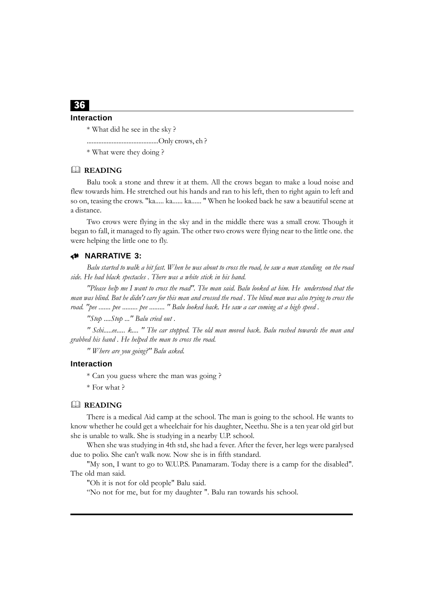#### **Interaction**

\* What did he see in the sky ?

...........................................Only crows, eh ?

\* What were they doing ?

#### **READING**

Balu took a stone and threw it at them. All the crows began to make a loud noise and flew towards him. He stretched out his hands and ran to his left, then to right again to left and so on, teasing the crows. "ka..... ka...... ka...... " When he looked back he saw a beautiful scene at a distance.

Two crows were flying in the sky and in the middle there was a small crow. Though it began to fall, it managed to fly again. The other two crows were flying near to the little one. the were helping the little one to fly.

#### 8 **NARRATIVE 3:**

*Balu started to walk a bit fast. When he was about to cross the road, he saw a man standing on the road side. He had black spectacles . There was a white stick in his hand.*

*"Please help me I want to cross the road". The man said. Balu looked at him. He understood that the man was blind. But he didn't care for this man and crossed the road . The blind man was also trying to cross the road. "pee ....... pee ......... pee ......... " Balu looked back. He saw a car coming at a high speed .*

*"Stop ....Stop ..." Balu cried out .*

*" Schi.....ee..... k.... " The car stopped. The old man moved back. Balu rushed towards the man and grabbed his hand . He helped the man to cross the road.*

*" Where are you going?" Balu asked.*

#### **Interaction**

\* Can you guess where the man was going ?

\* For what ?

#### **READING**

There is a medical Aid camp at the school. The man is going to the school. He wants to know whether he could get a wheelchair for his daughter, Neethu. She is a ten year old girl but she is unable to walk. She is studying in a nearby U.P. school.

When she was studying in 4th std, she had a fever. After the fever, her legs were paralysed due to polio. She can't walk now. Now she is in fifth standard.

"My son, I want to go to W.U.P.S. Panamaram. Today there is a camp for the disabled". The old man said.

"Oh it is not for old people" Balu said.

"No not for me, but for my daughter ". Balu ran towards his school.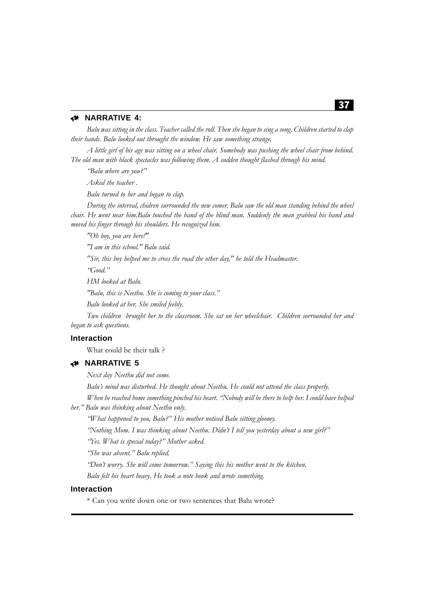### 8 **NARRATIVE 4:**

*Balu was sitting in the class. Teacher called the roll. Then she began to sing a song. Children started to clap their hands. Balu looked out throught the window. He saw something strange.*

*A little girl of his age was sitting on a wheel chair. Somebody was pushing the wheel chair from behind. The old man with black spectacles was following them. A sudden thought flashed through his mind.*

*"Balu where are you?"*

*Asked the teacher .*

*Balu turned to her and began to clap.*

*During the interval, chidren surrounded the new comer. Balu saw the old man standing behind the wheel chair. He went near him.Balu touched the hand of the blind man. Suddenly the man grabbed his hand and moved his finger through his shoulders. He recognized him.*

*"Oh boy, you are here!"*

*"I am in this school." Balu said.*

*"Sir, this boy helped me to cross the road the other day," he told the Headmaster.*

*"Good."*

*HM looked at Balu.*

*"Balu, this is Neethu. She is coming to your class."*

*Balu looked at her. She smiled feebly.*

*Two children brought her to the classroom. She sat on her wheelchair. Children sorrounded her and began to ask questions.*

#### **Interaction**

What could be their talk ?

# 8 **NARRATIVE 5**

*Next day Neethu did not come.*

*Balu's mind was disturbed. He thought about Neethu. He could not attend the class properly.*

*When he reached home something pinched his heart. "Nobody will be there to help her. I could have helped her." Balu was thinking about Neethu only.*

*"What happened to you, Balu?" His mother noticed Balu sitting gloomy.*

*"Nothing Mom. I was thinking about Neethu. Didn't I tell you yesterday about a new girl?"*

*"Yes. What is special today?" Mother asked.*

*"She was absent." Balu replied.*

*"Don't worry. She will come tomorrow." Saying this his mother went to the kitchen.*

*Balu felt his heart heavy. He took a note book and wrote something.*

#### **Interaction**

\* Can you write down one or two sentences that Balu wrote?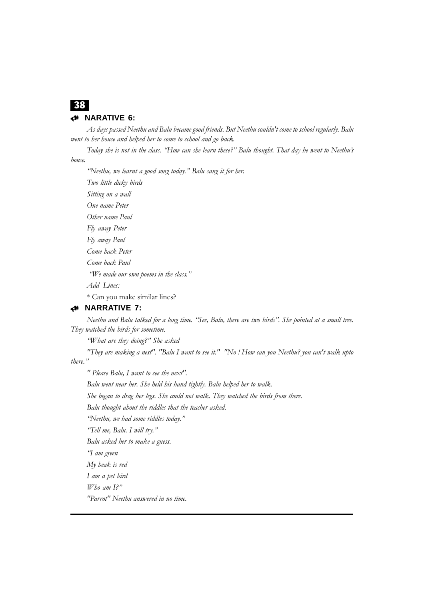# 8 **NARATIVE 6:**

*As days passed Neethu and Balu became good friends. But Neethu couldn't come to school regularly. Balu went to her house and helped her to come to school and go back.*

*Today she is not in the class. "How can she learn these?" Balu thought. That day he went to Neethu's house.*

*"Neethu, we learnt a good song today." Balu sang it for her. Two little dicky birds Sitting on a wall One name Peter Other name Paul Fly away Peter Fly away Paul Come back Peter Come back Paul "We made our own poems in the class." Add Lines:* \* Can you make similar lines?

# 8 **NARRATIVE 7:**

*Neethu and Balu talked for a long time. "See, Balu, there are two birds". She pointed at a small tree. They watched the birds for sometime.*

*"What are they doing?" She asked*

*"They are making a nest". "Balu I want to see it." "No ! How can you Neethu? you can't walk upto there."*

*" Please Balu, I want to see the next".*

*Balu went near her. She held his hand tightly. Balu helped her to walk.*

*She began to drag her legs. She could not walk. They watched the birds from there.*

*Balu thought about the riddles that the teacher asked.*

*"Neethu, we had some riddles today."*

*"Tell me, Balu. I will try."*

*Balu asked her to make a guess.*

*"I am green*

*My beak is red*

*I am a pet bird*

*Who am I?"*

*"Parrot" Neethu answered in no time.*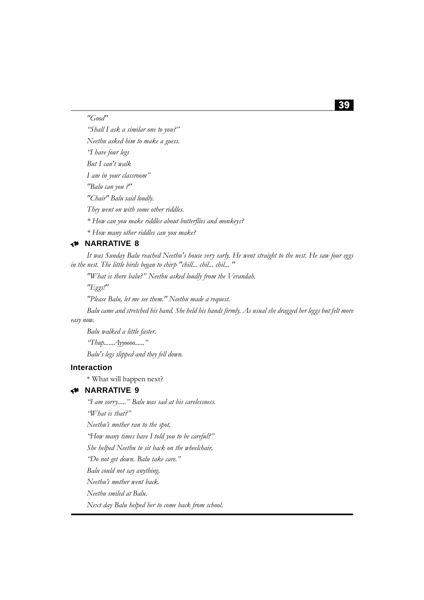*"Good"*

*"Shall I ask a similar one to you?" Neethu asked him to make a guess. "I have four legs But I can't walk I am in your classroom" "Balu can you ?" "Chair" Balu said loudly. They went on with some other riddles. \* How can you make riddles about butterflies and monkeys? \* How many other riddles can you make?*

# 8 **NARRATIVE 8**

*It was Sunday Balu reached Neethu's house very early. He went straight to the nest. He saw four eggs in the nest. The little birds began to chirp "chill... chil... chil... "*

*"What is there balu?" Neethu asked loudly from the Verandah.*

*"Eggs!"*

*"Please Balu, let me see them." Neethu made a request.*

*Balu came and stretched his hand. She held his hands firmly. As usual she dragged her leggs but felt more easy now.*

*Balu walked a little faster. "Thup......Ayyoooo......" Balu's legs slipped and they fell down.*

#### **Interaction**

\* What will happen next?

# 8 **NARRATIVE 9**

*"I am sorry....." Balu was sad at his carelessness.*

*"What is that?"*

*Neethu's mother ran to the spot.*

*"How many times have I told you to be careful?"*

*She helped Neethu to sit back on the wheelchair.*

*"Do not get down. Balu take care."*

*Balu could not say anything.*

*Neethu's mother went back.*

*Neethu smiled at Balu.*

*Next day Balu helped her to come back from school.*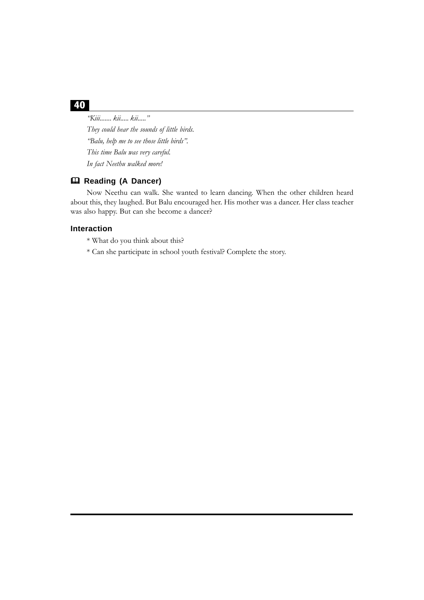*"Kiii....... kii..... kii....." They could hear the sounds of little birds. "Balu, help me to see those little birds". This time Balu was very careful. In fact Neethu walked more!*

# **Reading (A Dancer)**

Now Neethu can walk. She wanted to learn dancing. When the other children heard about this, they laughed. But Balu encouraged her. His mother was a dancer. Her class teacher was also happy. But can she become a dancer?

### **Interaction**

- \* What do you think about this?
- \* Can she participate in school youth festival? Complete the story.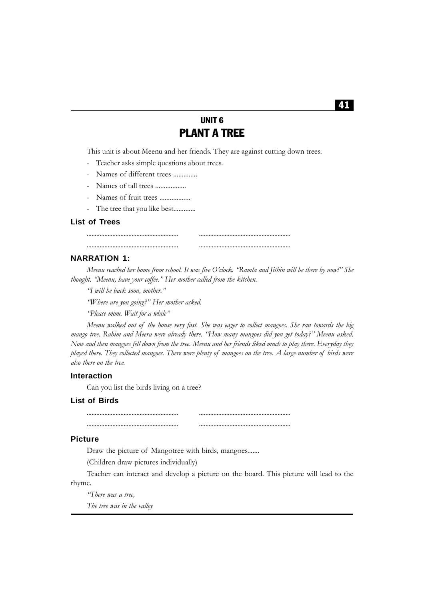# UNIT 6 PLANT A TREE

This unit is about Meenu and her friends. They are against cutting down trees.

- Teacher asks simple questions about trees.
- Names of different trees ...............
- Names of tall trees ..................
- Names of fruit trees ..................
- The tree that you like best.............

#### **List of Trees**

#### **NARRATION 1:**

*Meenu reached her home from school. It was five O'clock. "Ramla and Jithin will be there by now!" She thought. "Meenu, have your coffee." Her mother called from the kitchen.*

......................................................... ......................................................... ......................................................... .........................................................

*"I will be back soon, mother."*

*"Where are you going?" Her mother asked.*

*"Please mom. Wait for a while"*

*Meenu walked out of the house very fast. She was eager to collect mangoes. She ran towards the big mango tree. Rahim and Meera were already there. "How many mangoes did you get today?" Meenu asked. Now and then mangoes fell down from the tree. Meenu and her friends liked much to play there. Everyday they played there. They collected mangoes. There were plenty of mangoes on the tree. A large number of birds were also there on the tree.*

#### **Interaction**

Can you list the birds living on a tree?

### **List of Birds**

......................................................... ......................................................... ......................................................... .........................................................

#### **Picture**

Draw the picture of Mangotree with birds, mangoes.......

(Children draw pictures individually)

Teacher can interact and develop a picture on the board. This picture will lead to the rhyme.

*"There was a tree,*

*The tree was in the valley*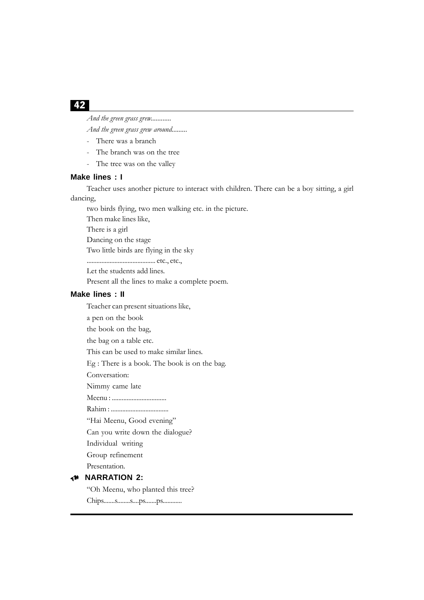*And the green grass grew............*

*And the green grass grew around.........*

- There was a branch
- The branch was on the tree
- The tree was on the valley

#### **Make lines : I**

Teacher uses another picture to interact with children. There can be a boy sitting, a girl dancing,

two birds flying, two men walking etc. in the picture.

Then make lines like,

There is a girl

Dancing on the stage

Two little birds are flying in the sky

.......................................... etc., etc.,

Let the students add lines.

Present all the lines to make a complete poem.

#### **Make lines : II**

Teacher can present situations like,

a pen on the book

the book on the bag,

the bag on a table etc.

This can be used to make similar lines.

Eg : There is a book. The book is on the bag.

Conversation:

Nimmy came late

Meenu : .................................

Rahim : ...................................

"Hai Meenu, Good evening"

Can you write down the dialogue?

Individual writing

Group refinement

Presentation.

# 8 **NARRATION 2:**

"Oh Meenu, who planted this tree?

Chips.......s........s....ps.......ps............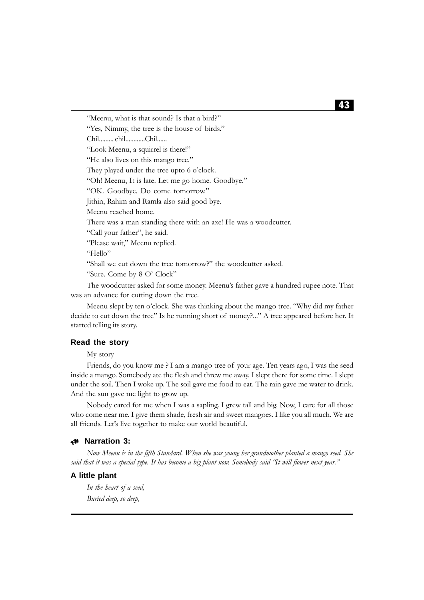"Meenu, what is that sound? Is that a bird?" "Yes, Nimmy, the tree is the house of birds."

Chil......... chil............Chil......

"Look Meenu, a squirrel is there!"

"He also lives on this mango tree."

They played under the tree upto 6 o'clock.

"Oh! Meenu, It is late. Let me go home. Goodbye."

"OK. Goodbye. Do come tomorrow."

Jithin, Rahim and Ramla also said good bye.

Meenu reached home.

There was a man standing there with an axe! He was a woodcutter.

"Call your father", he said.

"Please wait," Meenu replied.

"Hello"

"Shall we cut down the tree tomorrow?" the woodcutter asked.

"Sure. Come by 8 O' Clock"

The woodcutter asked for some money. Meenu's father gave a hundred rupee note. That was an advance for cutting down the tree.

Meenu slept by ten o'clock. She was thinking about the mango tree. "Why did my father decide to cut down the tree" Is he running short of money?..." A tree appeared before her. It started telling its story.

### **Read the story**

My story

Friends, do you know me ? I am a mango tree of your age. Ten years ago, I was the seed inside a mango. Somebody ate the flesh and threw me away. I slept there for some time. I slept under the soil. Then I woke up. The soil gave me food to eat. The rain gave me water to drink. And the sun gave me light to grow up.

Nobody cared for me when I was a sapling. I grew tall and big. Now, I care for all those who come near me. I give them shade, fresh air and sweet mangoes. I like you all much. We are all friends. Let's live together to make our world beautiful.

### 8 **Narration 3:**

*Now Meenu is in the fifth Standard. When she was young her grandmother planted a mango seed. She said that it was a special type. It has become a big plant now. Somebody said "It will flower next year."*

### **A little plant**

*In the heart of a seed, Buried deep, so deep,*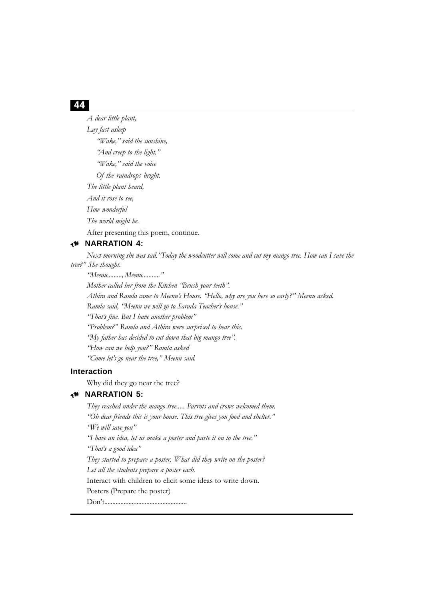*A dear little plant, Lay fast asleep "Wake," said the sunshine, "And creep to the light." "Wake," said the voice Of the raindrops bright. The little plant heard, And it rose to see, How wonderful The world might be.* After presenting this poem, continue.

### 8 **NARRATION 4:**

*Next morning she was sad."Today the woodcutter will come and cut my mango tree. How can I save the tree?" She thought.*

*"Meenu........., Meenu..........."*

*Mother called her from the Kitchen "Brush your teeth".*

*Athira and Ramla came to Meenu's House. "Hello, why are you here so early?" Meenu asked.*

*Ramla said, "Meenu we will go to Sarada Teacher's house."*

*"That's fine. But I have another problem"*

*"Problem?" Ramla and Athira were surprised to hear this.*

*"My father has decided to cut down that big mango tree".*

*"How can we help you?" Ramla asked*

*"Come let's go near the tree," Meenu said.*

# **Interaction**

Why did they go near the tree?

# 8 **NARRATION 5:**

*They reached under the mango tree..... Parrots and crows welcomed them. "Oh dear friends this is your house. This tree gives you food and shelter." "We will save you" "I have an idea, let us make a poster and paste it on to the tree." "That's a good idea" They started to prepare a poster. What did they write on the poster? Let all the students prepare a poster each.* Interact with children to elicit some ideas to write down. Posters (Prepare the poster) Don't...................................................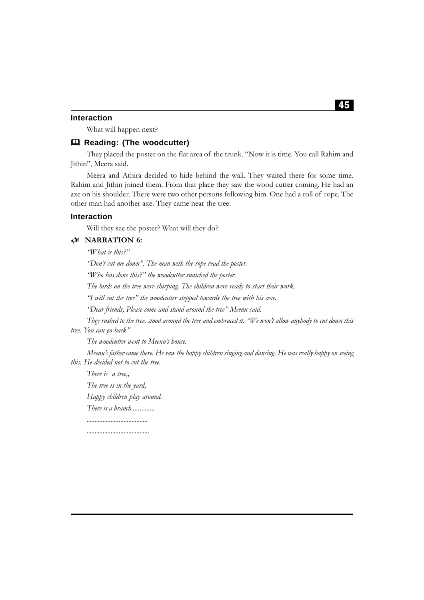### **Interaction**

What will happen next?

#### **Reading: (The woodcutter)**

They placed the poster on the flat area of the trunk. "Now it is time. You call Rahim and Jithin", Meera said.

Meera and Athira decided to hide behind the wall. They waited there for some time. Rahim and Jithin joined them. From that place they saw the wood cutter coming. He had an axe on his shoulder. There were two other persons following him. One had a roll of rope. The other man had another axe. They came near the tree.

#### **Interaction**

Will they see the poster? What will they do?

### 8 **NARRATION 6:**

*"What is this?"*

*"Don't cut me down". The man with the rope read the poster.*

*"Who has done this?" the woodcutter snatched the poster.*

*The birds on the tree were chirping. The children were ready to start their work.*

*"I will cut the tree" the woodcutter stepped towards the tree with his axe.*

*"Dear friends, Please come and stand around the tree" Meenu said.*

*They rushed to the tree, stood around the tree and embraced it. "We won't allow anybody to cut down this tree. You can go back"*

*The woodcutter went to Meenu's house.*

*Meenu's father came there. He saw the happy children singing and dancing. He was really happy on seeing this. He decided not to cut the tree.*

*There is a tree,,*

*The tree is in the yard,*

*Happy children play around.*

*There is a branch.............. ......................................*

*.......................................*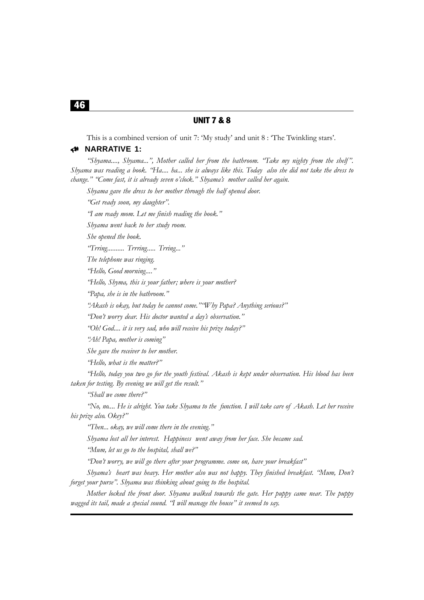# UNIT 7 & 8

This is a combined version of unit 7: 'My study' and unit 8 : 'The Twinkling stars'.

#### 8 **NARRATIVE 1:**

*"Shyama...., Shyama...", Mother called her from the bathroom. "Take my nighty from the shelf". Shyama was reading a book. "Ha.... ha... she is always like this. Today also she did not take the dress to change." "Come fast, it is already seven o'clock." Shyama's mother called her again.*

*Shyama gave the dress to her mother through the half opened door.*

*"Get ready soon, my daughter".*

*"I am ready mom. Let me finish reading the book."*

*Shyama went back to her study room.*

*She opened the book.*

*"Trring.......... Trrring..... Trring..."*

*The telephone was ringing.*

*"Hello, Good morning...."*

*"Hello, Shyma, this is your father; where is your mother?*

*"Papa, she is in the bathroom."*

*"Akash is okay, but today he cannot come.""Why Papa? Anything serious?"*

*"Don't worry dear. His doctor wanted a day's observation."*

*"Oh! God.... it is very sad, who will receive his prize today?"*

*"Ah! Papa, mother is coming"*

*She gave the receiver to her mother.*

*"Hello, what is the matter?"*

*"Hello, today you two go for the youth festival. Akash is kept under observation. His blood has been taken for testing. By evening we will get the result."*

*"Shall we come there?"*

*"No, no.... He is alright. You take Shyama to the function. I will take care of Akash. Let her receive his prize also. Okey?"*

*"Then... okay, we will come there in the evening."*

*Shyama lost all her interest. Happiness went away from her face. She became sad.*

*"Mum, let us go to the hospital, shall we?"*

*"Don't worry, we will go there after your programme. come on, have your breakfast"*

*Shyama's heart was heavy. Her mother also was not happy. They finished breakfast. "Mum, Don't forget your purse". Shyama was thinking about going to the hospital.*

*Mother locked the front door. Shyama walked towards the gate. Her puppy came near. The puppy wagged its tail, made a special sound. "I will manage the house" it seemed to say.*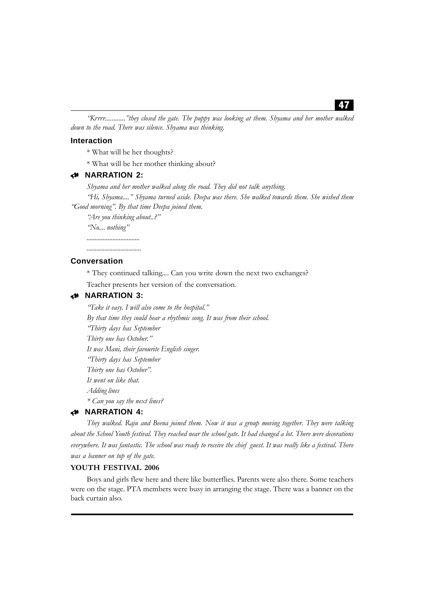*"Krrrr............"they closed the gate. The puppy was looking at them. Shyama and her mother walked down to the road. There was silence. Shyama was thinking.*

#### **Interaction**

\* What will be her thoughts?

\* What will be her mother thinking about?

# 8 **NARRATION 2:**

*Shyama and her mother walked along the road. They did not talk anything.*

*"Hi, Shyama...." Shyama turned aside. Deepa was there. She walked towards them. She wished them "Good morning". By that time Deepa joined them.*

*"Are you thinking about..?"*

*"No.... nothing"*

*.................................*

#### **Conversation**

\* They continued talking.... Can you write down the next two exchanges?

Teacher presents her version of the conversation.

### 8 **NARRATION 3:**

*"Take it easy. I will also come to the hospital." By that time they could hear a rhythmic song. It was from their school. "Thirty days has September Thirty one has October." It was Mani, their favourite English singer. "Thirty days has September Thirty one has October". It went on like that. Adding lines \* Can you say the next lines?*

## 8 **NARRATION 4:**

*They walked. Raju and Beena joined them. Now it was a group moving together. They were talking about the School Youth festival. They reached near the school gate. It had changed a lot. There were decorations everywhere. It was fantastic. The school was ready to receive the chief guest. It was really like a festival. There was a banner on top of the gate.*

#### **YOUTH FESTIVAL 2006**

Boys and girls flew here and there like butterflies. Parents were also there. Some teachers were on the stage. PTA members were busy in arranging the stage. There was a banner on the back curtain also.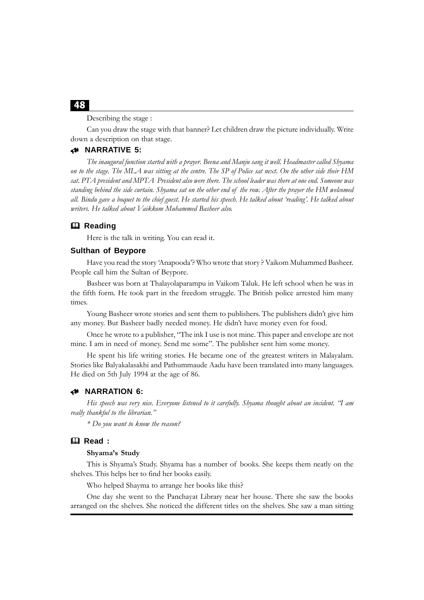Describing the stage :

Can you draw the stage with that banner? Let children draw the picture individually. Write down a description on that stage.

#### 8 **NARRATIVE 5:**

*The inaugural function started with a prayer. Beena and Manju sang it well. Headmaster called Shyama on to the stage. The MLA was sitting at the centre. The SP of Police sat next. On the other side their HM sat. PTA president and MPTA President also were there. The school leader was there at one end. Someone was standing behind the side curtain. Shyama sat on the other end of the row. After the prayer the HM welcomed all. Bindu gave a boquet to the chief guest. He started his speech. He talked about 'reading'. He talked about writers. He talked about Vaikkom Muhammed Basheer also.*

#### **Reading**

Here is the talk in writing. You can read it.

#### **Sulthan of Beypore**

Have you read the story 'Anapooda'? Who wrote that story ? Vaikom Muhammed Basheer. People call him the Sultan of Beypore.

Basheer was born at Thalayolaparampu in Vaikom Taluk. He left school when he was in the fifth form. He took part in the freedom struggle. The British police arrested him many times.

Young Basheer wrote stories and sent them to publishers. The publishers didn't give him any money. But Basheer badly needed money. He didn't have money even for food.

Once he wrote to a publisher, "The ink I use is not mine. This paper and envelope are not mine. I am in need of money. Send me some". The publisher sent him some money.

He spent his life writing stories. He became one of the greatest writers in Malayalam. Stories like Balyakalasakhi and Pathummaude Aadu have been translated into many languages. He died on 5th July 1994 at the age of 86.

#### 8 **NARRATION 6:**

*His speech was very nice. Everyone listened to it carefully. Shyama thought about an incident. "I am really thankful to the librarian."*

*\* Do you want to know the reason?*

# **Read :**

#### **Shyama's Study**

This is Shyama's Study. Shyama has a number of books. She keeps them neatly on the shelves. This helps her to find her books easily.

Who helped Shayma to arrange her books like this?

One day she went to the Panchayat Library near her house. There she saw the books arranged on the shelves. She noticed the different titles on the shelves. She saw a man sitting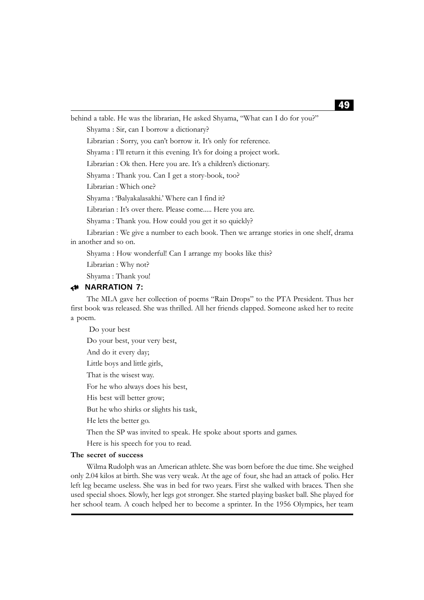behind a table. He was the librarian, He asked Shyama, "What can I do for you?" Shyama : Sir, can I borrow a dictionary? Librarian : Sorry, you can't borrow it. It's only for reference. Shyama : I'll return it this evening. It's for doing a project work. Librarian : Ok then. Here you are. It's a children's dictionary. Shyama : Thank you. Can I get a story-book, too? Librarian : Which one? Shyama : 'Balyakalasakhi.' Where can I find it? Librarian : It's over there. Please come..... Here you are. Shyama : Thank you. How could you get it so quickly? Librarian : We give a number to each book. Then we arrange stories in one shelf, drama in another and so on. Shyama : How wonderful! Can I arrange my books like this? Librarian : Why not? Shyama : Thank you! 8 **NARRATION 7:**

The MLA gave her collection of poems "Rain Drops" to the PTA President. Thus her first book was released. She was thrilled. All her friends clapped. Someone asked her to recite a poem.

Do your best, your very best, And do it every day; Little boys and little girls, That is the wisest way. For he who always does his best, His best will better grow; But he who shirks or slights his task, He lets the better go. Then the SP was invited to speak. He spoke about sports and games. Here is his speech for you to read.

#### **The secret of success**

Do your best

Wilma Rudolph was an American athlete. She was born before the due time. She weighed only 2.04 kilos at birth. She was very weak. At the age of four, she had an attack of polio. Her left leg became useless. She was in bed for two years. First she walked with braces. Then she used special shoes. Slowly, her legs got stronger. She started playing basket ball. She played for her school team. A coach helped her to become a sprinter. In the 1956 Olympics, her team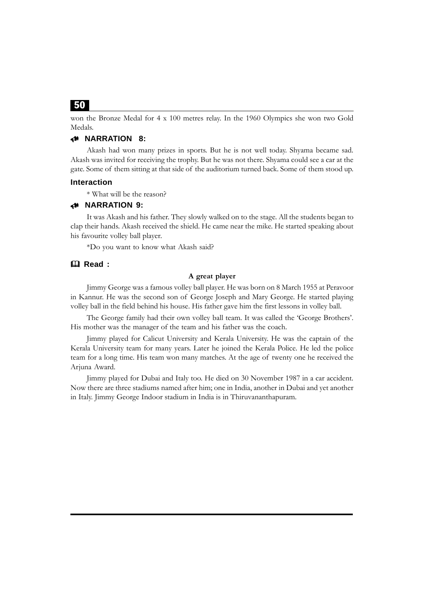won the Bronze Medal for 4 x 100 metres relay. In the 1960 Olympics she won two Gold Medals.

# 8 **NARRATION 8:**

Akash had won many prizes in sports. But he is not well today. Shyama became sad. Akash was invited for receiving the trophy. But he was not there. Shyama could see a car at the gate. Some of them sitting at that side of the auditorium turned back. Some of them stood up.

#### **Interaction**

\* What will be the reason?

#### 8 **NARRATION 9:**

It was Akash and his father. They slowly walked on to the stage. All the students began to clap their hands. Akash received the shield. He came near the mike. He started speaking about his favourite volley ball player.

\*Do you want to know what Akash said?

### **Read :**

# **A great player**

Jimmy George was a famous volley ball player. He was born on 8 March 1955 at Peravoor in Kannur. He was the second son of George Joseph and Mary George. He started playing volley ball in the field behind his house. His father gave him the first lessons in volley ball.

The George family had their own volley ball team. It was called the 'George Brothers'. His mother was the manager of the team and his father was the coach.

Jimmy played for Calicut University and Kerala University. He was the captain of the Kerala University team for many years. Later he joined the Kerala Police. He led the police team for a long time. His team won many matches. At the age of twenty one he received the Arjuna Award.

Jimmy played for Dubai and Italy too. He died on 30 November 1987 in a car accident. Now there are three stadiums named after him; one in India, another in Dubai and yet another in Italy. Jimmy George Indoor stadium in India is in Thiruvananthapuram.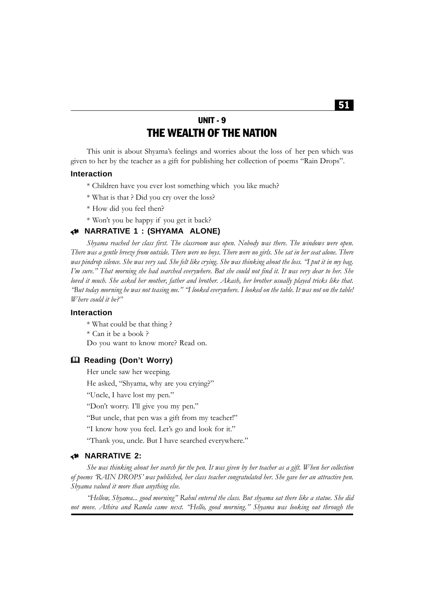# UNIT - 9 THE WEALTH OF THE NATION

This unit is about Shyama's feelings and worries about the loss of her pen which was given to her by the teacher as a gift for publishing her collection of poems "Rain Drops".

#### **Interaction**

- \* Children have you ever lost something which you like much?
- \* What is that ? Did you cry over the loss?
- \* How did you feel then?
- \* Won't you be happy if you get it back?

# 8 **NARRATIVE 1 : (SHYAMA ALONE)**

*Shyama reached her class first. The classroom was open. Nobody was there. The windows were open. There was a gentle breeze from outside. There were no boys. There were no girls. She sat in her seat alone. There was pindrop silence. She was very sad. She felt like crying. She was thinking about the loss. "I put it in my bag. I'm sure." That morning she had searched everywhere. But she could not find it. It was very dear to her. She loved it much. She asked her mother, father and brother. Akash, her brother usually played tricks like that. "But today morning he was not teasing me." "I looked everywhere. I looked on the table. It was not on the table! Where could it be?"*

# **Interaction**

\* What could be that thing ? \* Can it be a book ? Do you want to know more? Read on.

#### **Reading (Don't Worry)**

Her uncle saw her weeping.

He asked, "Shyama, why are you crying?"

"Uncle, I have lost my pen."

"Don't worry. I'll give you my pen."

"But uncle, that pen was a gift from my teacher!"

"I know how you feel. Let's go and look for it."

"Thank you, uncle. But I have searched everywhere."

### 8 **NARRATIVE 2:**

*She was thinking about her search for the pen. It was given by her teacher as a gift. When her collection of poems 'RAIN DROPS' was published, her class teacher congratulated her. She gave her an attractive pen. Shyama valued it more than anything else.*

*"Hellow, Shyama... good morning" Rahul entered the class. But shyama sat there like a statue. She did not move. Athira and Ramla came next. "Hello, good morning." Shyama was looking out through the*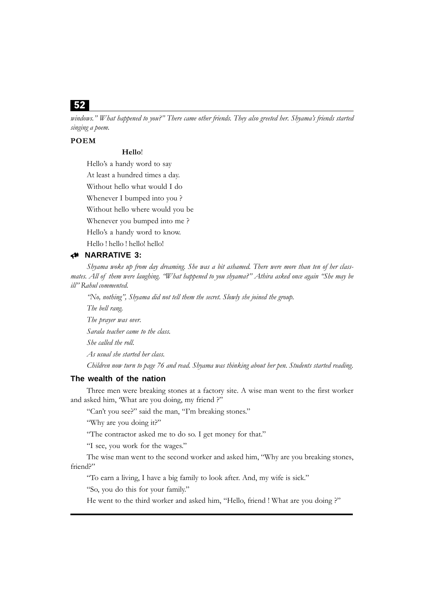*windows." What happened to you?" There came other friends. They also greeted her. Shyama's friends started singing a poem.*

### **POEM**

### **Hello**!

Hello's a handy word to say

At least a hundred times a day.

Without hello what would I do

Whenever I bumped into you ?

Without hello where would you be

Whenever you bumped into me ?

Hello's a handy word to know.

Hello ! hello ! hello! hello!

# 8 **NARRATIVE 3:**

*Shyama woke up from day dreaming. She was a bit ashamed. There were more than ten of her classmates. All of them were laughing. "What happened to you shyama?" Athira asked once again "She may be ill" Rahul commented.*

*"No, nothing", Shyama did not tell them the secret. Slowly she joined the group.*

*The bell rang.*

*The prayer was over.*

*Sarala teacher came to the class.*

*She called the roll.*

*As usual she started her class.*

*Children now turn to page 76 and read. Shyama was thinking about her pen. Students started reading.*

# **The wealth of the nation**

Three men were breaking stones at a factory site. A wise man went to the first worker and asked him, 'What are you doing, my friend ?"

"Can't you see?" said the man, "I'm breaking stones."

"Why are you doing it?"

"The contractor asked me to do so. I get money for that."

"I see, you work for the wages."

The wise man went to the second worker and asked him, "Why are you breaking stones, friend?"

"To earn a living, I have a big family to look after. And, my wife is sick."

"So, you do this for your family."

He went to the third worker and asked him, "Hello, friend ! What are you doing ?"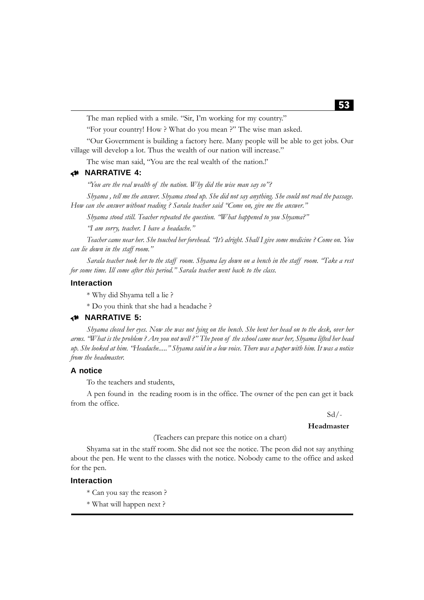The man replied with a smile. "Sir, I'm working for my country."

"For your country! How ? What do you mean ?" The wise man asked.

"Our Government is building a factory here. Many people will be able to get jobs. Our village will develop a lot. Thus the wealth of our nation will increase."

The wise man said, "You are the real wealth of the nation.!'

## 8 **NARRATIVE 4:**

*"You are the real wealth of the nation. Why did the wise man say so"?*

*Shyama , tell me the answer. Shyama stood up. She did not say anything. She could not read the passage. How can she answer without reading ? Sarala teacher said "Come on, give me the answer."*

*Shyama stood still. Teacher repeated the question. "What happened to you Shyama?"*

*"I am sorry, teacher. I have a headache."*

*Teacher came near her. She touched her forehead. "It's alright. Shall I give some medicine ? Come on. You can lie down in the staff room."*

*Sarala teacher took her to the staff room. Shyama lay down on a bench in the staff room. "Take a rest for some time. Ill come after this period." Sarala teacher went back to the class.*

#### **Interaction**

\* Why did Shyama tell a lie ?

\* Do you think that she had a headache ?

### 8 **NARRATIVE 5:**

*Shyama closed her eyes. Now she was not lying on the bench. She bent her head on to the desk, over her arms. "What is the problem ? Are you not well ?" The peon of the school came near her, Shyama lifted her head up. She looked at him. "Headache....." Shyama said in a low voice. There was a paper with him. It was a notice from the headmaster.*

# **A notice**

To the teachers and students,

A pen found in the reading room is in the office. The owner of the pen can get it back from the office.

#### $Sd$  /-

#### **Headmaster**

(Teachers can prepare this notice on a chart)

Shyama sat in the staff room. She did not see the notice. The peon did not say anything about the pen. He went to the classes with the notice. Nobody came to the office and asked for the pen.

#### **Interaction**

- \* Can you say the reason ?
- \* What will happen next ?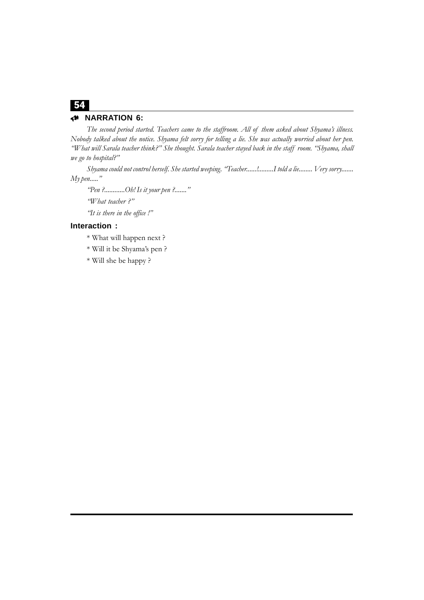# 8 **NARRATION 6:**

*The second period started. Teachers came to the staffroom. All of them asked about Shyama's illness. Nobody talked about the notice. Shyama felt sorry for telling a lie. She was actually worried about her pen. "What will Sarala teacher think?" She thought. Sarala teacher stayed back in the staff room. "Shyama, shall we go to hospital?"*

*Shyama could not control herself. She started weeping. "Teacher......!.........I told a lie........ Very sorry....... My pen....."*

*"Pen ?............Oh! Is it your pen ?......."*

*"What teacher ?"*

*"It is there in the office !"*

# **Interaction :**

- \* What will happen next ?
- \* Will it be Shyama's pen ?
- \* Will she be happy ?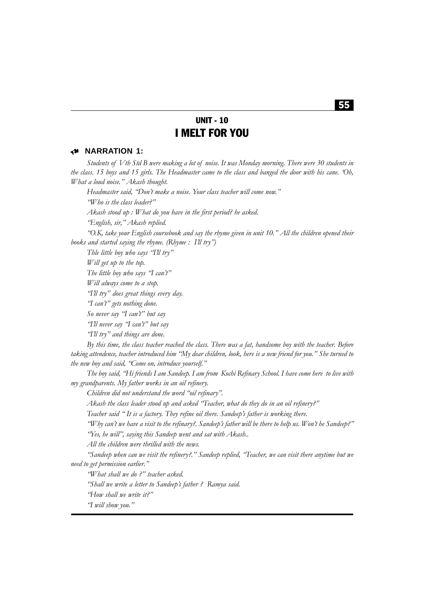# UNIT - 10 I MELT FOR YOU

# 8 **NARRATION 1:**

*Students of Vth Std B were making a lot of noise. It was Monday morning. There were 30 students in the class. 15 boys and 15 girls. The Headmaster came to the class and banged the door with his cane. 'Oh, What a loud noise." Akash thought.*

*Headmaster said, "Don't make a noise. Your class teacher will come now."*

*"Who is the class leader?"*

*Akash stood up : What do you have in the first period? he asked.*

*"English, sir," Akash replied.*

*"O.K, take your English coursebook and say the rhyme given in unit 10." All the children opened their books and started saying the rhyme. (Rhyme : I'll try")*

*Thle little boy who says "I'll try"*

*Will get up to the top.*

*The little boy who says "I can't"*

*Will always come to a stop.*

*"I'll try" does great things every day.*

*"I can't" gets nothing done.*

*So never say "I can't" but say*

*"I'll never say "I can't" but say*

*"I'll try" and things are done.*

*By this time, the class teacher reached the class. There was a fat, handsome boy with the teacher. Before taking attendence, teacher introduced him "My dear children, look, here is a new friend for you." She turned to the new boy and said, "Come on, introduce yourself."*

*The boy said, "Hi friends I am Sandeep. I am from Kochi Refinary School. I have come here to live with my grandparents. My father works in an oil refinery.*

*Children did not understand the word "oil refinary".*

*Akash the class leader stood up and asked "Teacher, what do they do in an oil refinery?"*

*Teacher said " It is a factory. They refine oil there. Sandeep's father is working there.*

*"Why can't we have a visit to the refinary?. Sandeep's father will be there to help us. Won't he Sandeep?" "Yes, he will", saying this Sandeep went and sat with Akash..*

*All the children were thrilled with the news.*

*"Sandeep when can we visit the refinery?." Sandeep replied, "Teacher, we can visit there anytime but we need to get permission earlier."*

*"What shall we do ?" teacher asked.*

*"Shall we write a letter to Sandeep's father ? Ramya said.*

*"How shall we write it?"*

*"I will show you."*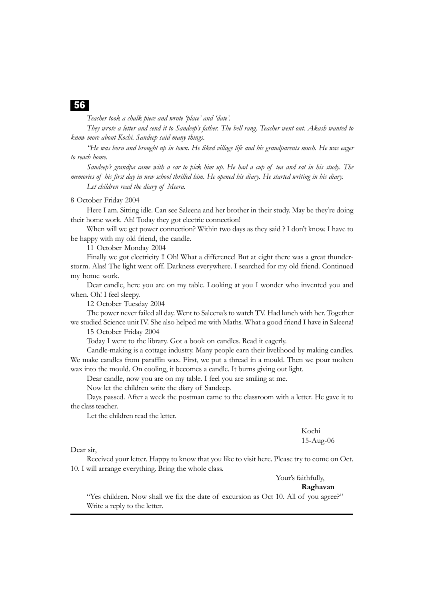*Teacher took a chalk piece and wrote 'place' and 'date'.*

*They wrote a letter and send it to Sandeep's father. The bell rang. Teacher went out. Akash wanted to know more about Kochi. Sandeep said many things.*

*"He was born and brought up in town. He liked village life and his grandparents much. He was eager to reach home.*

*Sandeep's grandpa came with a car to pick him up. He had a cup of tea and sat in his study. The memories of his first day in new school thrilled him. He opened his diary. He started writing in his diary.*

*Let children read the diary of Meera.*

8 October Friday 2004

Here I am. Sitting idle. Can see Saleena and her brother in their study. May be they're doing their home work. Ah! Today they got electric connection!

When will we get power connection? Within two days as they said ? I don't know. I have to be happy with my old friend, the candle.

11 October Monday 2004

Finally we got electricity !! Oh! What a difference! But at eight there was a great thunderstorm. Alas! The light went off. Darkness everywhere. I searched for my old friend. Continued my home work.

Dear candle, here you are on my table. Looking at you I wonder who invented you and when. Oh! I feel sleepy.

12 October Tuesday 2004

The power never failed all day. Went to Saleena's to watch TV. Had lunch with her. Together we studied Science unit IV. She also helped me with Maths. What a good friend I have in Saleena!

15 October Friday 2004

Today I went to the library. Got a book on candles. Read it eagerly.

Candle-making is a cottage industry. Many people earn their livelihood by making candles. We make candles from paraffin wax. First, we put a thread in a mould. Then we pour molten wax into the mould. On cooling, it becomes a candle. It burns giving out light.

Dear candle, now you are on my table. I feel you are smiling at me.

Now let the children write the diary of Sandeep.

Days passed. After a week the postman came to the classroom with a letter. He gave it to the class teacher.

Let the children read the letter.

Kochi 15-Aug-06

Dear sir,

Received your letter. Happy to know that you like to visit here. Please try to come on Oct. 10. I will arrange everything. Bring the whole class.

Your's faithfully,

**Raghavan**

"Yes children. Now shall we fix the date of excursion as Oct 10. All of you agree?" Write a reply to the letter.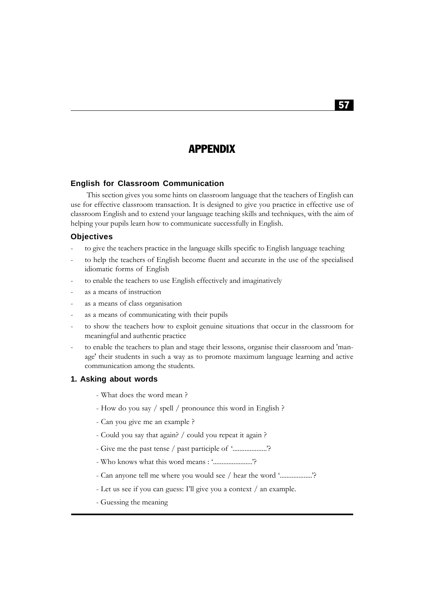# APPENDIX

#### **English for Classroom Communication**

This section gives you some hints on classroom language that the teachers of English can use for effective classroom transaction. It is designed to give you practice in effective use of classroom English and to extend your language teaching skills and techniques, with the aim of helping your pupils learn how to communicate successfully in English.

#### **Objectives**

- to give the teachers practice in the language skills specific to English language teaching
- to help the teachers of English become fluent and accurate in the use of the specialised idiomatic forms of English
- to enable the teachers to use English effectively and imaginatively
- as a means of instruction
- as a means of class organisation
- as a means of communicating with their pupils
- to show the teachers how to exploit genuine situations that occur in the classroom for meaningful and authentic practice
- to enable the teachers to plan and stage their lessons, organise their classroom and 'manage' their students in such a way as to promote maximum language learning and active communication among the students.

#### **1. Asking about words**

- What does the word mean ?
- How do you say / spell / pronounce this word in English ?
- Can you give me an example ?
- Could you say that again? / could you repeat it again ?
- Give me the past tense / past participle of '......................?
- Who knows what this word means : '.......................'?
- Can anyone tell me where you would see / hear the word '...................?
- Let us see if you can guess: I'll give you a context / an example.
- Guessing the meaning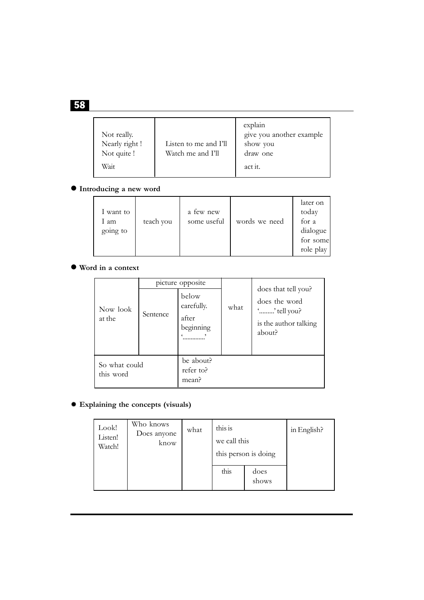| Not really.<br>Nearly right !<br>Not quite !<br>Wait | Listen to me and I'll<br>Watch me and I'll | explain<br>give you another example<br>show you<br>draw one<br>act it. |
|------------------------------------------------------|--------------------------------------------|------------------------------------------------------------------------|
|------------------------------------------------------|--------------------------------------------|------------------------------------------------------------------------|

# $\bullet$  Introducing a new word

| I want to<br>1 am<br>going to | teach you | a few new<br>some useful | words we need | later on<br>today<br>for a<br>dialogue<br>for some<br>role play |
|-------------------------------|-----------|--------------------------|---------------|-----------------------------------------------------------------|
|-------------------------------|-----------|--------------------------|---------------|-----------------------------------------------------------------|

# $\bullet$  Word in a context

|                            | picture opposite |                                           |      |                                                                                         |  |
|----------------------------|------------------|-------------------------------------------|------|-----------------------------------------------------------------------------------------|--|
| Now look<br>at the         | Sentence         | below<br>carefully.<br>after<br>beginning | what | does that tell you?<br>does the word<br>'' tell you?<br>is the author talking<br>about? |  |
| So what could<br>this word |                  | be about?<br>refer to?<br>mean?           |      |                                                                                         |  |

# **Explaining the concepts (visuals)**

| Look!<br>Listen!<br>Watch! | Who knows<br>Does anyone<br>know | what | this is<br>we call this | this person is doing | in English? |
|----------------------------|----------------------------------|------|-------------------------|----------------------|-------------|
|                            |                                  |      | this                    | does<br>shows        |             |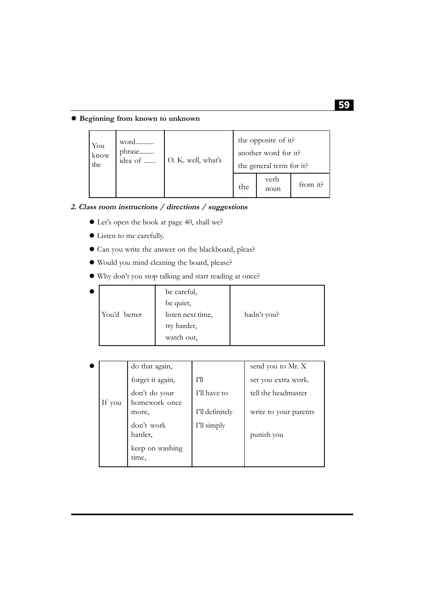# **Beginning from known to unknown**

| You<br>the | know | word<br>phrase<br>idea of | O. K. well, what's |     | the opposite of it?<br>another word for it?<br>the general term for it? |          |
|------------|------|---------------------------|--------------------|-----|-------------------------------------------------------------------------|----------|
|            |      |                           |                    | the | verb<br>noun                                                            | from it? |

# **2. Class room instructions / directions / suggestions**

- Let's open the book at page 40, shall we?
- Listen to me carefully.
- Can you write the answer on the blackboard, pleas?
- Would you mind cleaning the board, please?
- Why don't you stop talking and start reading at once?

| ₩ |              | be careful,       |             |
|---|--------------|-------------------|-------------|
|   |              | be quiet,         |             |
|   | You'd better | listen next time, | hadn't you? |
|   |              | try harder,       |             |
|   |              | watch out,        |             |
|   |              |                   |             |

| ۰ |        | do that again,                 |                 | send you to Mr. X     |
|---|--------|--------------------------------|-----------------|-----------------------|
|   |        | forget it again,               | $T^{\prime}$ ll | set you extra work.   |
|   | If you | don't do your<br>homework once | I'll have to    | tell the headmaster   |
|   |        | more,                          | I'll definitely | write to your parents |
|   |        | don't work<br>harder,          | I'll simply     | punish you            |
|   |        | keep on washing<br>time,       |                 |                       |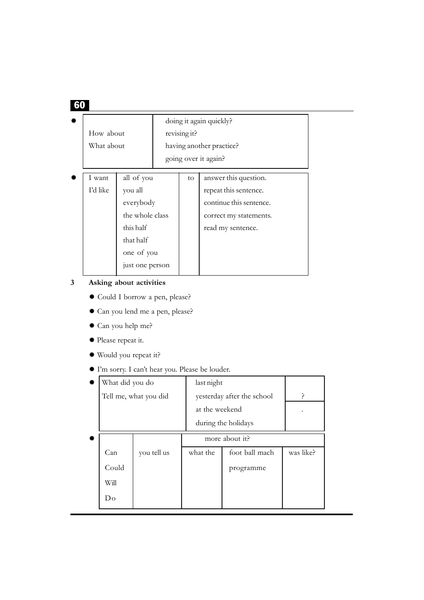| How about<br>What about |                                                                                                                  | revising it? | doing it again quickly?<br>having another practice?<br>going over it again?                                              |
|-------------------------|------------------------------------------------------------------------------------------------------------------|--------------|--------------------------------------------------------------------------------------------------------------------------|
| I want<br>I'd like      | all of you<br>you all<br>everybody<br>the whole class<br>this half<br>that half<br>one of you<br>just one person | to           | answer this question.<br>repeat this sentence.<br>continue this sentence.<br>correct my statements.<br>read my sentence. |

# **3 Asking about activities**

- Could I borrow a pen, please?
- Can you lend me a pen, please?
- Can you help me?
- Please repeat it.
- Would you repeat it?
- I'm sorry. I can't hear you. Please be louder.

| ۰ | What did you do |                       | last night          |                            |           |
|---|-----------------|-----------------------|---------------------|----------------------------|-----------|
|   |                 | Tell me, what you did |                     | yesterday after the school | P         |
|   |                 |                       | at the weekend      |                            |           |
|   |                 |                       | during the holidays |                            |           |
| 誊 |                 |                       | more about it?      |                            |           |
|   | Can             | you tell us           | what the            | foot ball mach             | was like? |
|   | Could           |                       |                     | programme                  |           |
|   | Will            |                       |                     |                            |           |
|   | Do              |                       |                     |                            |           |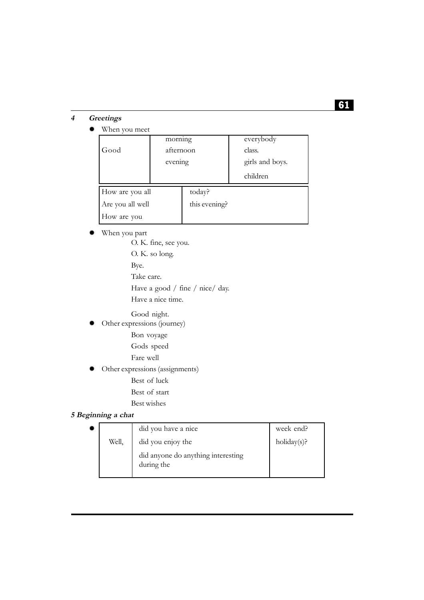# **4 Greetings**

# When you meet

|                  | morning   |               | everybody       |
|------------------|-----------|---------------|-----------------|
| Good             | afternoon |               | class.          |
|                  | evening   |               | girls and boys. |
|                  |           |               | children        |
| How are you all  |           | today?        |                 |
| Are you all well |           | this evening? |                 |
| How are you      |           |               |                 |

# When you part

O. K. fine, see you. O. K. so long. Bye. Take care. Have a good / fine / nice/ day. Have a nice time.

Good night.

- Other expressions (journey)
	- Bon voyage
	- Gods speed
	- Fare well
- Other expressions (assignments)
	- Best of luck
	- Best of start
	- Best wishes

# **5 Beginning a chat**

|       | did you have a nice                              | week end?      |
|-------|--------------------------------------------------|----------------|
| Well, | did you enjoy the                                | $holding(s)$ ? |
|       | did anyone do anything interesting<br>during the |                |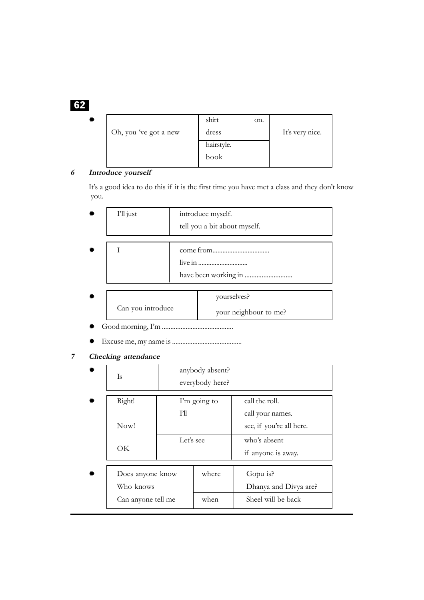| ₩ |                       | shirt      | on. |                 |  |
|---|-----------------------|------------|-----|-----------------|--|
|   | Oh, you 've got a new | dress      |     | It's very nice. |  |
|   |                       | hairstyle. |     |                 |  |
|   |                       | book       |     |                 |  |
|   |                       |            |     |                 |  |

# **6 Introduce yourself**

It's a good idea to do this if it is the first time you have met a class and they don't know you.

| I'll just         | introduce myself.            |                       |  |  |
|-------------------|------------------------------|-----------------------|--|--|
|                   | tell you a bit about myself. |                       |  |  |
|                   |                              |                       |  |  |
|                   |                              |                       |  |  |
|                   |                              |                       |  |  |
|                   |                              |                       |  |  |
|                   |                              |                       |  |  |
|                   |                              | yourselves?           |  |  |
| Can you introduce |                              | your neighbour to me? |  |  |

Good morning, I'm ..........................................

Excuse me, my name is .........................................

**7 Checking attendance**

| Is                                                  |                                 | anybody absent?<br>everybody here? |                                                                                                      |
|-----------------------------------------------------|---------------------------------|------------------------------------|------------------------------------------------------------------------------------------------------|
| Right!<br>Now!<br>OK                                | I'm going to<br>TĦ<br>Let's see |                                    | call the roll.<br>call your names.<br>see, if you're all here.<br>who's absent<br>if anyone is away. |
| Does anyone know<br>Who knows<br>Can anyone tell me |                                 | where<br>when                      | Gopu is?<br>Dhanya and Divya are?<br>Sheel will be back                                              |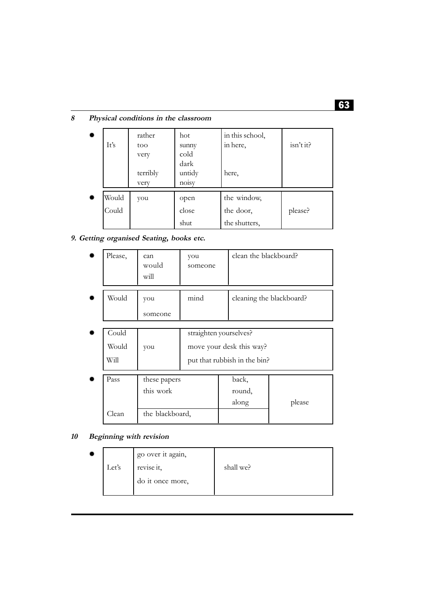# **8 Physical conditions in the classroom**

| ₩  | It's  | rather<br>too<br>very | hot<br>sunny<br>cold    | in this school,<br>in here, | isn't it? |
|----|-------|-----------------------|-------------------------|-----------------------------|-----------|
|    |       | terribly<br>very      | dark<br>untidy<br>noisy | here,                       |           |
| ₩. | Would | you                   | open                    | the window,                 |           |
|    | Could |                       | close                   | the door,                   | please?   |
|    |       |                       | shut                    | the shutters,               |           |

# **9. Getting organised Seating, books etc.**

|          | Please,              | can<br>would<br>will | you<br>someone | clean the blackboard?    |
|----------|----------------------|----------------------|----------------|--------------------------|
|          | Would                | you<br>someone       | mind           | cleaning the blackboard? |
| $\cdots$ | $\sim$ $\sim$ $\sim$ |                      | . .            | $\sim$                   |

| Could |                           | straighten yourselves?       |        |
|-------|---------------------------|------------------------------|--------|
| Would | you                       | move your desk this way?     |        |
| Will  |                           | put that rubbish in the bin? |        |
| Pass  | these papers<br>this work | back,<br>round,              |        |
|       |                           | along                        | please |
| Clean | the blackboard,           |                              |        |

# **10 Beginning with revision**

| ₩ |       | go over it again, |           |
|---|-------|-------------------|-----------|
|   | Let's | revise it,        | shall we? |
|   |       | do it once more,  |           |
|   |       |                   |           |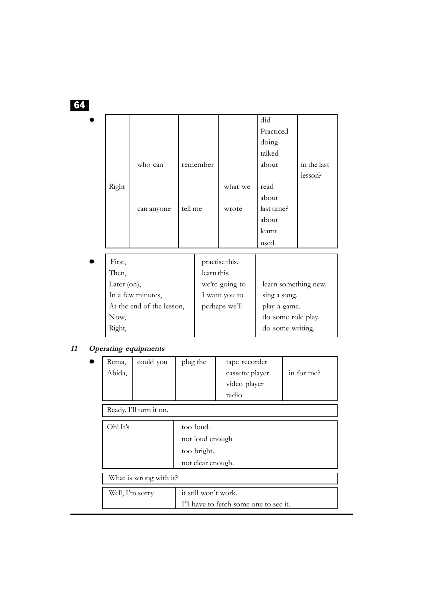|       |            |         |          |         | did        |             |
|-------|------------|---------|----------|---------|------------|-------------|
|       |            |         |          |         | Practiced  |             |
|       |            |         |          |         | doing      |             |
|       |            |         |          |         | talked     |             |
|       | who can    |         | remember |         | about      | in the last |
|       |            |         |          |         |            | lesson?     |
| Right |            |         |          | what we | read       |             |
|       |            |         |          |         | about      |             |
|       | can anyone | tell me |          | wrote   | last time? |             |
|       |            |         |          |         | about      |             |
|       |            |         |          |         | learnt     |             |
|       |            |         |          |         | used.      |             |

| First,                    | practise this. |                      |
|---------------------------|----------------|----------------------|
| Then,                     | learn this.    |                      |
| Later (on),               | we're going to | learn something new. |
| In a few minutes,         | I want you to  | sing a song.         |
| At the end of the lesson, | perhaps we'll  | play a game.         |
| Now,                      |                | do some role play.   |
| Right,                    |                | do some writing.     |
|                           |                |                      |

# **11 Operating equipments**

| 誊 | Rema,<br>Abida,         | could you              | plug the                                                         | tape recorder<br>cassette player<br>video player<br>radio | in for me? |  |  |
|---|-------------------------|------------------------|------------------------------------------------------------------|-----------------------------------------------------------|------------|--|--|
|   | Ready. I'll turn it on. |                        |                                                                  |                                                           |            |  |  |
|   | Oh! It's                |                        | too loud.<br>not loud enough<br>too bright.<br>not clear enough. |                                                           |            |  |  |
|   |                         | What is wrong with it? |                                                                  |                                                           |            |  |  |
|   | Well, I'm sorry         |                        | it still won't work.<br>I'll have to fetch some one to see it.   |                                                           |            |  |  |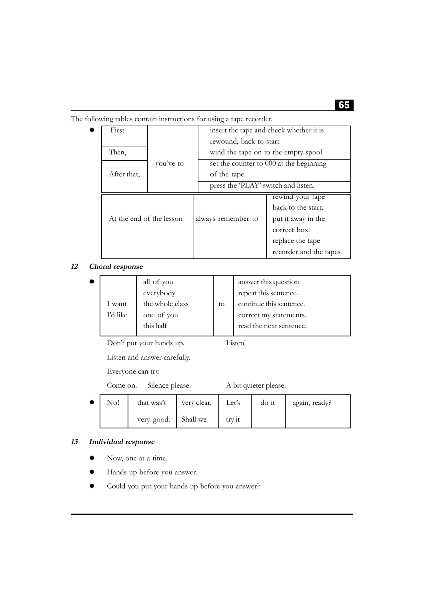| The following tables contain instructions for using a tape recorder. |
|----------------------------------------------------------------------|
|----------------------------------------------------------------------|

| First                    |           |                                         |                                         |  |  |
|--------------------------|-----------|-----------------------------------------|-----------------------------------------|--|--|
|                          |           | insert the tape and check whether it is |                                         |  |  |
|                          |           | rewound, back to start                  |                                         |  |  |
| Then,                    |           |                                         | wind the tape on to the empty spool.    |  |  |
|                          | you've to |                                         | set the counter to 000 at the beginning |  |  |
| After that,              |           | of the tape.                            |                                         |  |  |
|                          |           | press the 'PLAY' switch and listen.     |                                         |  |  |
|                          |           |                                         | rewind your tape                        |  |  |
|                          |           |                                         | back to the start.                      |  |  |
| At the end of the lesson |           | always remember to                      | put it away in the                      |  |  |
|                          |           |                                         | correct box.                            |  |  |
|                          |           |                                         | replace the tape                        |  |  |
|                          |           |                                         | recorder and the tapes.                 |  |  |

**12 Choral response**

| ₩ |          | all of you      |    | answer this question    |
|---|----------|-----------------|----|-------------------------|
|   |          | everybody       |    | repeat this sentence.   |
|   | I want   | the whole class | to | continue this sentence. |
|   | I'd like | one of you      |    | correct my statements.  |
|   |          | this half       |    | read the next sentence. |

Don't put your hands up. Listen!

Listen and answer carefully.

Everyone can try.

Come on. Silence please. A bit quieter please.

| No! | that was't          | very clear. | Let's  | do it | again, ready? |
|-----|---------------------|-------------|--------|-------|---------------|
|     | very good. Shall we |             | try 1t |       |               |

# **13 Individual response**

- Now, one at a time.
- Hands up before you answer.
- Could you put your hands up before you answer?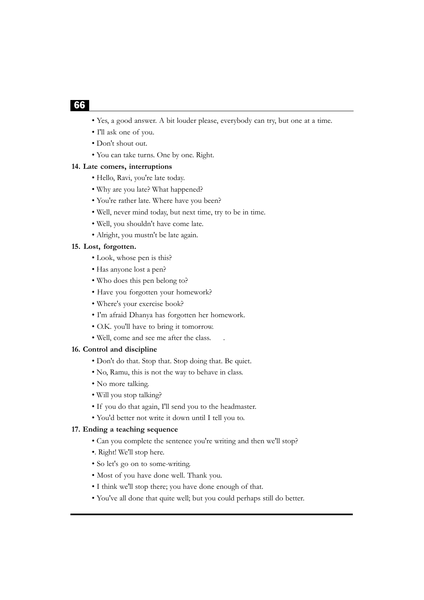- Yes, a good answer. A bit louder please, everybody can try, but one at a time.
- I'll ask one of you.
- Don't shout out.
- You can take turns. One by one. Right.

#### **14. Late comers, interruptions**

- Hello, Ravi, you're late today.
- Why are you late? What happened?
- You're rather late. Where have you been?
- Well, never mind today, but next time, try to be in time.
- Well, you shouldn't have come late.
- Alright, you mustn't be late again.

#### **15. Lost, forgotten.**

- Look, whose pen is this?
- Has anyone lost a pen?
- Who does this pen belong to?
- Have you forgotten your homework?
- Where's your exercise book?
- I'm afraid Dhanya has forgotten her homework.
- O.K. you'll have to bring it tomorrow.
- Well, come and see me after the class. .

### **16. Control and discipline**

- Don't do that. Stop that. Stop doing that. Be quiet.
- No, Ramu, this is not the way to behave in class.
- No more talking.
- Will you stop talking?
- If you do that again, I'll send you to the headmaster.
- You'd better not write it down until I tell you to.

### **17. Ending a teaching sequence**

- Can you complete the sentence you're writing and then we'll stop?
- •. Right! We'll stop here.
- So let's go on to some-writing.
- Most of you have done well. Thank you.
- I think we'll stop there; you have done enough of that.
- You've all done that quite well; but you could perhaps still do better.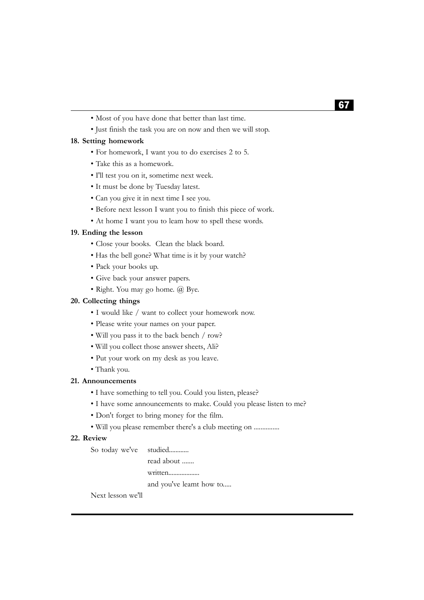- Most of you have done that better than last time.
- Just finish the task you are on now and then we will stop.

### **18. Setting homework**

- For homework, I want you to do exercises 2 to 5.
- Take this as a homework.
- I'll test you on it, sometime next week.
- It must be done by Tuesday latest.
- Can you give it in next time I see you.
- Before next lesson I want you to finish this piece of work.
- At home I want you to leam how to spell these words.

### **19. Ending the lesson**

- Close your books. Clean the black board.
- Has the bell gone? What time is it by your watch?
- Pack your books up.
- Give back your answer papers.
- Right. You may go home. @ Bye.

#### **20. Collecting things**

- I would like / want to collect your homework now.
- Please write your names on your paper.
- Will you pass it to the back bench / row?
- Will you collect those answer sheets, Ali?
- Put your work on my desk as you leave.
- Thank you.

### **21. Announcements**

- I have something to tell you. Could you listen, please?
- I have some announcements to make. Could you please listen to me?
- Don't forget to bring money for the film.
- Will you please remember there's a club meeting on ...............

### **22. Review**

| So today we've studied |                         |  |  |
|------------------------|-------------------------|--|--|
|                        | read about              |  |  |
|                        | written                 |  |  |
|                        | and you've leamt how to |  |  |
|                        |                         |  |  |

Next lesson we'll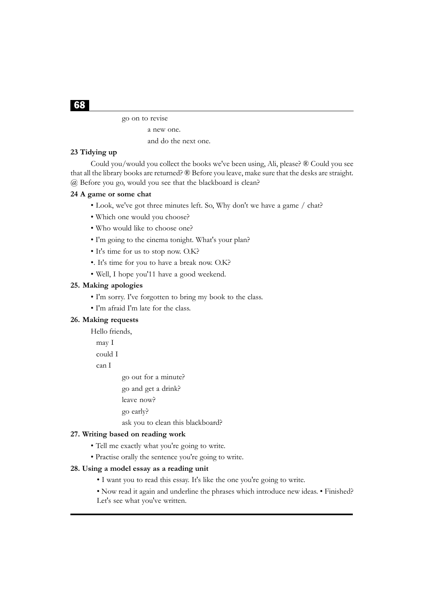go on to revise

```
a new one.
```
and do the next one.

# **23 Tidying up**

Could you/would you collect the books we've been using, Ali, please? ® Could you see that all the library books are returned? ® Before you leave, make sure that the desks are straight. @ Before you go, would you see that the blackboard is clean?

#### **24 A game or some chat**

- Look, we've got three minutes left. So, Why don't we have a game / chat?
- Which one would you choose?
- Who would like to choose one?
- I'm going to the cinema tonight. What's your plan?
- It's time for us to stop now. O.K?
- •. It's time for you to have a break now. O.K?
- Well, I hope you'11 have a good weekend.

## **25. Making apologies**

- I'm sorry. I've forgotten to bring my book to the class.
- I'm afraid I'm late for the class.

#### **26. Making requests**

Hello friends,

may I

could I

can I

go out for a minute?

- go and get a drink?
- leave now?
- go early?
- ask you to clean this blackboard?

# **27. Writing based on reading work**

- Tell me exactly what you're going to write.
- Practise orally the sentence you're going to write.

#### **28. Using a model essay as a reading unit**

- I want you to read this essay. It's like the one you're going to write.
- Now read it again and underline the phrases which introduce new ideas. Finished?
- Let's see what you've written.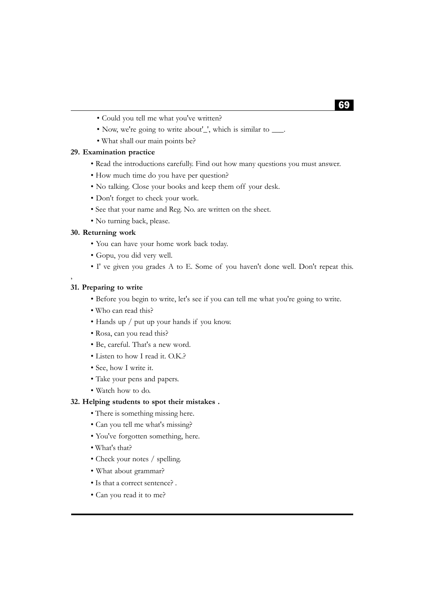- Could you tell me what you've written?
- Now, we're going to write about'\_', which is similar to \_\_\_.
- What shall our main points be?

# **29. Examination practice**

- Read the introductions carefully. Find out how many questions you must answer.
- How much time do you have per question?
- No talking. Close your books and keep them off your desk.
- Don't forget to check your work.
- See that your name and Reg. No. are written on the sheet.
- No turning back, please.

### **30. Returning work**

- You can have your home work back today.
- Gopu, you did very well.
- I' ve given you grades A to E. Some of you haven't done well. Don't repeat this.

#### **31. Preparing to write**

,

- Before you begin to write, let's see if you can tell me what you're going to write.
- Who can read this?
- Hands up / put up your hands if you know.
- Rosa, can you read this?
- Be, careful. That's a new word.
- Listen to how I read it. O.K.?
- See, how I write it.
- Take your pens and papers.
- Watch how to do.

### **32. Helping students to spot their mistakes .**

- There is something missing here.
- Can you tell me what's missing?
- You've forgotten something, here.
- What's that?
- Check your notes / spelling.
- What about grammar?
- Is that a correct sentence? .
- Can you read it to me?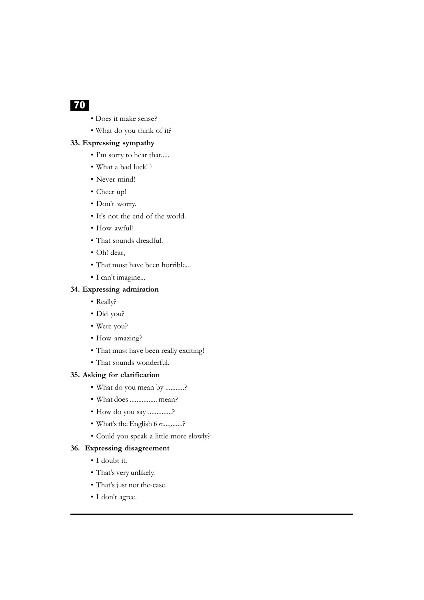- Does it make sense?
- What do you think of it?

## **33. Expressing sympathy**

- I'm sorry to hear that.....
- What a bad luck! \
- Never mind!
- Cheer up!
- Don't worry.
- It's not the end of the world.
- How awful!
- That sounds dreadful.
- Oh! dear,
- That must have been horrible...
- I can't imagine...

#### **34. Expressing admiration**

- Really?
- Did you?
- Were you?
- How amazing?
- That must have been really exciting!
- That sounds wonderful.

# **35. Asking for clarification**

- What do you mean by ...........?
- What does ................ mean?
- How do you say ..............?
- What's the English for....,.......?
- Could you speak a little more slowly?

## **36. Expressing disagreement**

- I doubt it.
- That's very unlikely.
- That's just not the-case.
- I don't agree.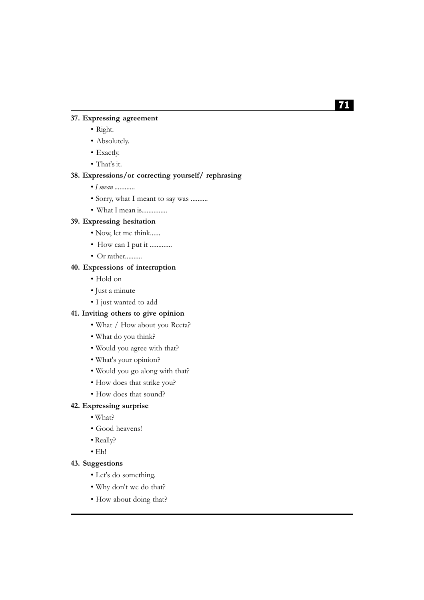### **37. Expressing agreement**

- Right.
- Absolutely.
- Exactly.
- That's it.

### **38. Expressions/or correcting yourself/ rephrasing**

- • *I mean ............*
- Sorry, what I meant to say was ..........

# • What I mean is...............

# **39. Expressing hesitation**

- Now, let me think......
- How can I put it .............
- Or rather..........

# **40. Expressions of interruption**

- Hold on
- Just a minute
- I just wanted to add

#### **41. Inviting others to give opinion**

- What / How about you Reeta?
- What do you think?
- Would you agree with that?
- What's your opinion?
- Would you go along with that?
- How does that strike you?
- How does that sound?

### **42. Expressing surprise**

- What?
- Good heavens!
- Really?
- Eh!

### **43. Suggestions**

- Let's do something.
- Why don't we do that?
- How about doing that?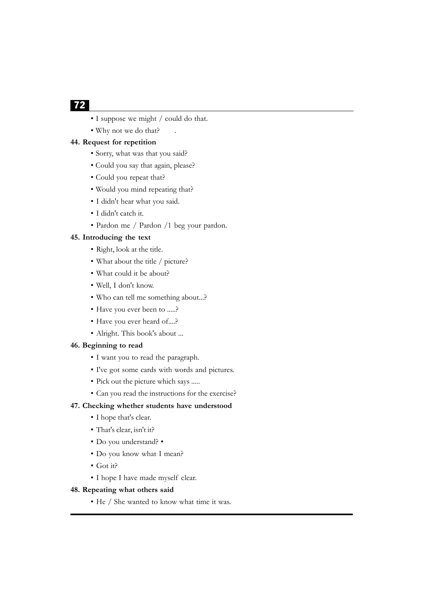- I suppose we might / could do that.
- Why not we do that?

# **44. Request for repetition**

- Sorry, what was that you said?
- Could you say that again, please?
- Could you repeat that?
- Would you mind repeating that?
- I didn't hear what you said.
- I didn't catch it.
- Pardon me / Pardon /1 beg your pardon.

### **45. Introducing the text**

- Right, look at the title.
- What about the title / picture?
- What could it be about?
- Well, I don't know.
- Who can tell me something about...?
- Have you ever been to .....?
- Have you ever heard of....?
- Alright. This book's about ...

#### **46. Beginning to read**

- I want you to read the paragraph.
- I've got some cards with words and pictures.
- Pick out the picture which says .....
- Can you read the instructions for the exercise?

# **47. Checking whether students have understood**

- I hope that's clear.
- That's clear, isn't it?
- Do you understand? •
- Do you know what I mean?
- Got it?
- I hope I have made myself clear.

#### **48. Repeating what others said**

• He / She wanted to know what time it was.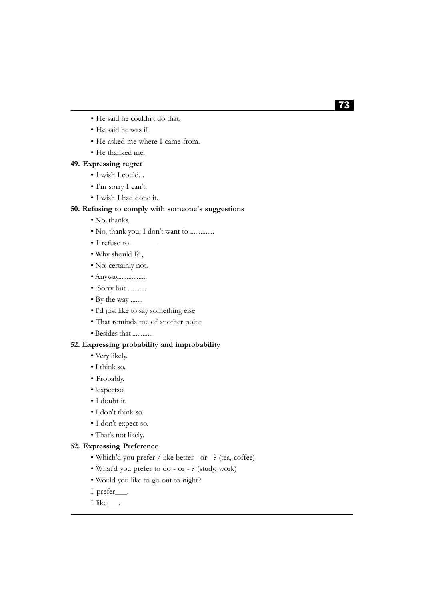- He said he couldn't do that.
- He said he was ill.
- He asked me where I came from.
- He thanked me.

#### **49. Expressing regret**

- I wish I could. .
- I'm sorry I can't.
- I wish I had done it.

#### **50. Refusing to comply with someone's suggestions**

- No, thanks.
- No, thank you, I don't want to ..............
- I refuse to \_\_\_\_\_\_\_
- Why should I? ,
- No, certainly not.
- Anyway.................
- Sorry but ...........
- By the way .......
- I'd just like to say something else
- That reminds me of another point
- Besides that ............

#### **52. Expressing probability and improbability**

- Very likely.
- I think so.
- Probably.
- lexpectso.
- I doubt it.
- I don't think so.
- I don't expect so.
- That's not likely.

#### **52. Expressing Preference**

- Which'd you prefer / like better or ? (tea, coffee)
- What'd you prefer to do or ? (study, work)
- Would you like to go out to night?
- I prefer\_\_\_.
- I like\_\_\_.

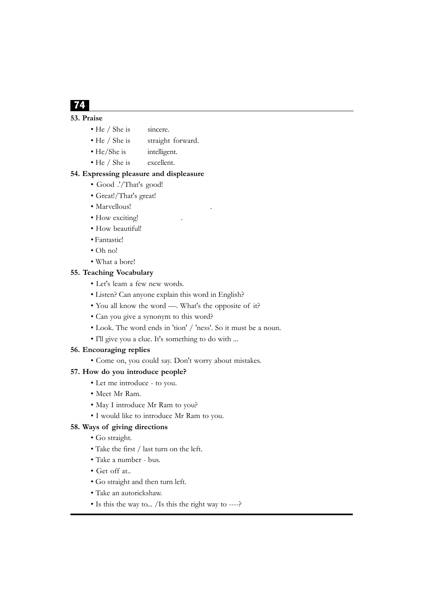# 74

## **53. Praise**

- He / She is sincere.
- He / She is straight forward.
- He/She is intelligent.
- He / She is excellent.

#### **54. Expressing pleasure and displeasure**

- Good .'/That's good!
- Great!/That's great!
- Marvellous!
- How exciting!
- How beautiful!
- Fantastic!
- Oh no!
- What a bore!

### **55. Teaching Vocabulary**

- Let's leam a few new words.
- Listen? Can anyone explain this word in English?
- You all know the word —. What's the opposite of it?
- Can you give a synonym to this word?
- Look. The word ends in 'tion' / 'ness'. So it must be a noun.
- I'll give you a clue. It's something to do with ...

### **56. Encouraging replies**

• Come on, you could say. Don't worry about mistakes.

### **57. How do you introduce people?**

- Let me introduce to you.
- Meet Mr Ram.
- May I introduce Mr Ram to you?
- I would like to introduce Mr Ram to you.

### **58. Ways of giving directions**

- Go straight.
- Take the first / last turn on the left.
- Take a number bus.
- Get off at..
- Go straight and then turn left.
- Take an autorickshaw.
- Is this the way to... /Is this the right way to ----?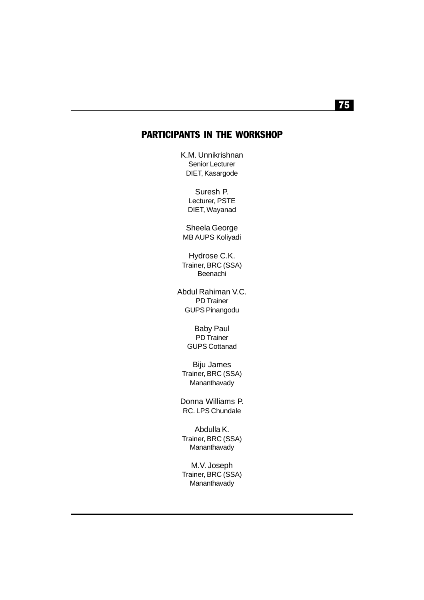### PARTICIPANTS IN THE WORKSHOP

K.M. Unnikrishnan Senior Lecturer DIET, Kasargode

> Suresh P. Lecturer, PSTE DIET, Wayanad

Sheela George MB AUPS Koliyadi

Hydrose C.K. Trainer, BRC (SSA) Beenachi

Abdul Rahiman V.C. PD Trainer GUPS Pinangodu

> Baby Paul PD Trainer GUPS Cottanad

Biju James Trainer, BRC (SSA) Mananthavady

Donna Williams P. RC. LPS Chundale

Abdulla K. Trainer, BRC (SSA) Mananthavady

M.V. Joseph Trainer, BRC (SSA) **Mananthavady** 

## 75